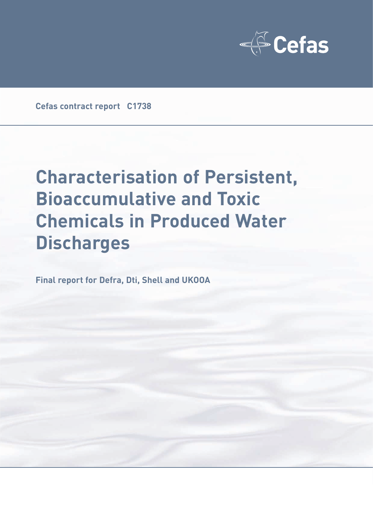

**Cefas contract report C1738**

# **Characterisation of Persistent, Bioaccumulative and Toxic Chemicals in Produced Water Discharges**

**Final report for Defra, Dti, Shell and UKOOA**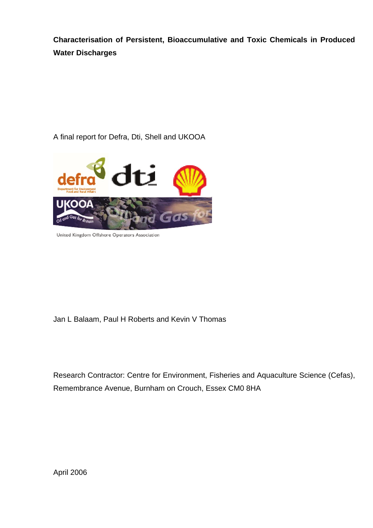**Characterisation of Persistent, Bioaccumulative and Toxic Chemicals in Produced Water Discharges** 

A final report for Defra, Dti, Shell and UKOOA



United Kingdom Offshore Operators Association

Jan L Balaam, Paul H Roberts and Kevin V Thomas

Research Contractor: Centre for Environment, Fisheries and Aquaculture Science (Cefas), Remembrance Avenue, Burnham on Crouch, Essex CM0 8HA

April 2006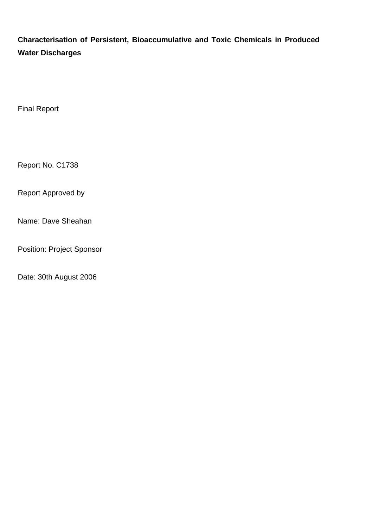**Characterisation of Persistent, Bioaccumulative and Toxic Chemicals in Produced Water Discharges** 

Final Report

Report No. C1738

Report Approved by

Name: Dave Sheahan

Position: Project Sponsor

Date: 30th August 2006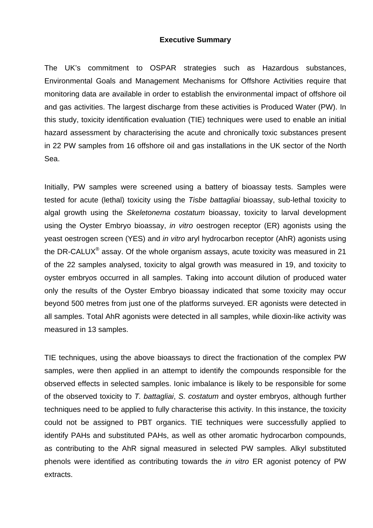## **Executive Summary**

The UK's commitment to OSPAR strategies such as Hazardous substances, Environmental Goals and Management Mechanisms for Offshore Activities require that monitoring data are available in order to establish the environmental impact of offshore oil and gas activities. The largest discharge from these activities is Produced Water (PW). In this study, toxicity identification evaluation (TIE) techniques were used to enable an initial hazard assessment by characterising the acute and chronically toxic substances present in 22 PW samples from 16 offshore oil and gas installations in the UK sector of the North Sea.

Initially, PW samples were screened using a battery of bioassay tests. Samples were tested for acute (lethal) toxicity using the *Tisbe battagliai* bioassay, sub-lethal toxicity to algal growth using the *Skeletonema costatum* bioassay, toxicity to larval development using the Oyster Embryo bioassay, *in vitro* oestrogen receptor (ER) agonists using the yeast oestrogen screen (YES) and *in vitro* aryl hydrocarbon receptor (AhR) agonists using the DR-CALUX® assay. Of the whole organism assays, acute toxicity was measured in 21 of the 22 samples analysed, toxicity to algal growth was measured in 19, and toxicity to oyster embryos occurred in all samples. Taking into account dilution of produced water only the results of the Oyster Embryo bioassay indicated that some toxicity may occur beyond 500 metres from just one of the platforms surveyed. ER agonists were detected in all samples. Total AhR agonists were detected in all samples, while dioxin-like activity was measured in 13 samples.

TIE techniques, using the above bioassays to direct the fractionation of the complex PW samples, were then applied in an attempt to identify the compounds responsible for the observed effects in selected samples. Ionic imbalance is likely to be responsible for some of the observed toxicity to *T. battagliai*, *S. costatum* and oyster embryos, although further techniques need to be applied to fully characterise this activity. In this instance, the toxicity could not be assigned to PBT organics. TIE techniques were successfully applied to identify PAHs and substituted PAHs, as well as other aromatic hydrocarbon compounds, as contributing to the AhR signal measured in selected PW samples. Alkyl substituted phenols were identified as contributing towards the *in vitro* ER agonist potency of PW extracts.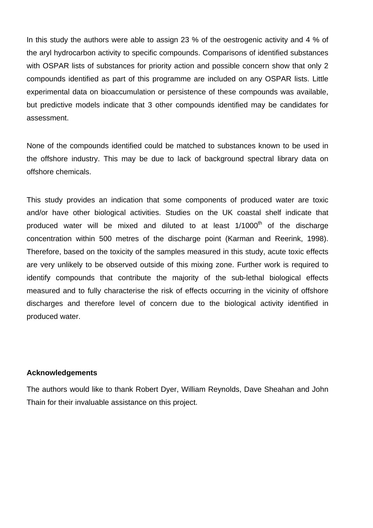In this study the authors were able to assign 23 % of the oestrogenic activity and 4 % of the aryl hydrocarbon activity to specific compounds. Comparisons of identified substances with OSPAR lists of substances for priority action and possible concern show that only 2 compounds identified as part of this programme are included on any OSPAR lists. Little experimental data on bioaccumulation or persistence of these compounds was available, but predictive models indicate that 3 other compounds identified may be candidates for assessment.

None of the compounds identified could be matched to substances known to be used in the offshore industry. This may be due to lack of background spectral library data on offshore chemicals.

This study provides an indication that some components of produced water are toxic and/or have other biological activities. Studies on the UK coastal shelf indicate that produced water will be mixed and diluted to at least  $1/1000<sup>th</sup>$  of the discharge concentration within 500 metres of the discharge point (Karman and Reerink, 1998). Therefore, based on the toxicity of the samples measured in this study, acute toxic effects are very unlikely to be observed outside of this mixing zone. Further work is required to identify compounds that contribute the majority of the sub-lethal biological effects measured and to fully characterise the risk of effects occurring in the vicinity of offshore discharges and therefore level of concern due to the biological activity identified in produced water.

#### **Acknowledgements**

The authors would like to thank Robert Dyer, William Reynolds, Dave Sheahan and John Thain for their invaluable assistance on this project.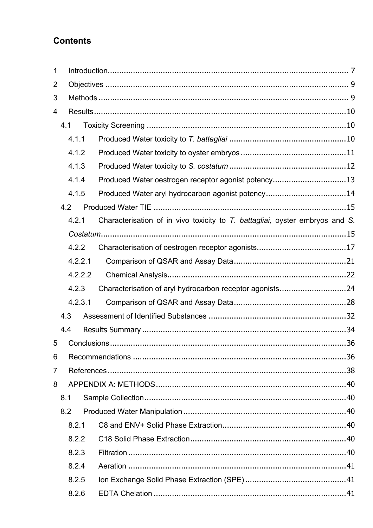## **Contents**

| $\mathbf 1$    |     |         |                                                                              |
|----------------|-----|---------|------------------------------------------------------------------------------|
| $\overline{2}$ |     |         |                                                                              |
| 3              |     |         |                                                                              |
| 4              |     |         |                                                                              |
|                | 4.1 |         |                                                                              |
|                |     | 4.1.1   |                                                                              |
|                |     | 4.1.2   |                                                                              |
|                |     | 4.1.3   |                                                                              |
|                |     | 4.1.4   | Produced Water oestrogen receptor agonist potency13                          |
|                |     | 4.1.5   | Produced Water aryl hydrocarbon agonist potency14                            |
|                | 4.2 |         |                                                                              |
|                |     | 4.2.1   | Characterisation of in vivo toxicity to T. battagliai, oyster embryos and S. |
|                |     |         |                                                                              |
|                |     | 4.2.2   |                                                                              |
|                |     | 4.2.2.1 |                                                                              |
|                |     | 4.2.2.2 |                                                                              |
|                |     | 4.2.3   | Characterisation of aryl hydrocarbon receptor agonists24                     |
|                |     | 4.2.3.1 |                                                                              |
|                | 4.3 |         |                                                                              |
|                | 4.4 |         |                                                                              |
| 5              |     |         |                                                                              |
| 6              |     |         |                                                                              |
| 7              |     |         |                                                                              |
| 8              |     |         |                                                                              |
|                | 8.1 |         |                                                                              |
|                | 8.2 |         |                                                                              |
|                |     | 8.2.1   |                                                                              |
|                |     | 8.2.2   |                                                                              |
|                |     | 8.2.3   |                                                                              |
|                |     | 8.2.4   |                                                                              |
|                |     | 8.2.5   |                                                                              |
|                |     | 8.2.6   |                                                                              |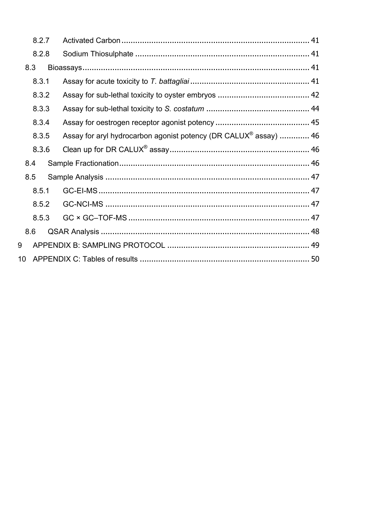|                 | 8.2.7 |                                                                              |  |
|-----------------|-------|------------------------------------------------------------------------------|--|
|                 | 8.2.8 |                                                                              |  |
|                 | 8.3   |                                                                              |  |
|                 | 8.3.1 |                                                                              |  |
|                 | 8.3.2 |                                                                              |  |
|                 | 8.3.3 |                                                                              |  |
|                 | 8.3.4 |                                                                              |  |
|                 | 8.3.5 | Assay for aryl hydrocarbon agonist potency (DR CALUX <sup>®</sup> assay)  46 |  |
|                 | 8.3.6 |                                                                              |  |
|                 | 8.4   |                                                                              |  |
|                 | 8.5   |                                                                              |  |
|                 | 8.5.1 |                                                                              |  |
|                 | 8.5.2 |                                                                              |  |
|                 | 8.5.3 |                                                                              |  |
|                 | 8.6   |                                                                              |  |
| 9               |       |                                                                              |  |
| 10 <sup>°</sup> |       |                                                                              |  |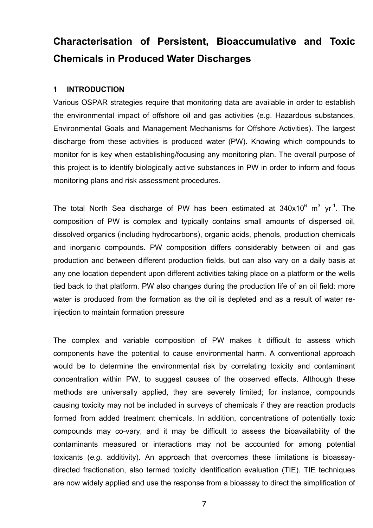## **Characterisation of Persistent, Bioaccumulative and Toxic Chemicals in Produced Water Discharges**

## **1 INTRODUCTION**

Various OSPAR strategies require that monitoring data are available in order to establish the environmental impact of offshore oil and gas activities (e.g. Hazardous substances, Environmental Goals and Management Mechanisms for Offshore Activities). The largest discharge from these activities is produced water (PW). Knowing which compounds to monitor for is key when establishing/focusing any monitoring plan. The overall purpose of this project is to identify biologically active substances in PW in order to inform and focus monitoring plans and risk assessment procedures.

The total North Sea discharge of PW has been estimated at  $340x10^6$  m<sup>3</sup> yr<sup>-1</sup>. The composition of PW is complex and typically contains small amounts of dispersed oil, dissolved organics (including hydrocarbons), organic acids, phenols, production chemicals and inorganic compounds. PW composition differs considerably between oil and gas production and between different production fields, but can also vary on a daily basis at any one location dependent upon different activities taking place on a platform or the wells tied back to that platform. PW also changes during the production life of an oil field: more water is produced from the formation as the oil is depleted and as a result of water reinjection to maintain formation pressure

The complex and variable composition of PW makes it difficult to assess which components have the potential to cause environmental harm. A conventional approach would be to determine the environmental risk by correlating toxicity and contaminant concentration within PW, to suggest causes of the observed effects. Although these methods are universally applied, they are severely limited; for instance, compounds causing toxicity may not be included in surveys of chemicals if they are reaction products formed from added treatment chemicals. In addition, concentrations of potentially toxic compounds may co-vary, and it may be difficult to assess the bioavailability of the contaminants measured or interactions may not be accounted for among potential toxicants (*e.g.* additivity). An approach that overcomes these limitations is bioassaydirected fractionation, also termed toxicity identification evaluation (TIE). TIE techniques are now widely applied and use the response from a bioassay to direct the simplification of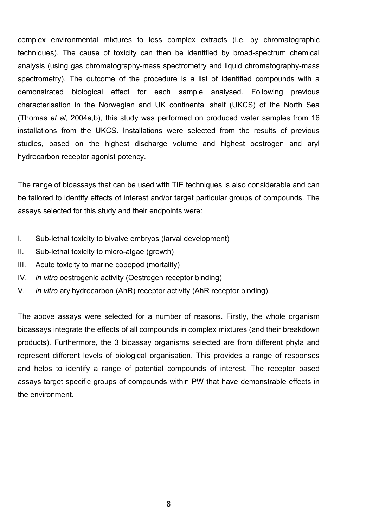complex environmental mixtures to less complex extracts (i.e. by chromatographic techniques). The cause of toxicity can then be identified by broad-spectrum chemical analysis (using gas chromatography-mass spectrometry and liquid chromatography-mass spectrometry). The outcome of the procedure is a list of identified compounds with a demonstrated biological effect for each sample analysed. Following previous characterisation in the Norwegian and UK continental shelf (UKCS) of the North Sea (Thomas *et al*, 2004a,b), this study was performed on produced water samples from 16 installations from the UKCS. Installations were selected from the results of previous studies, based on the highest discharge volume and highest oestrogen and aryl hydrocarbon receptor agonist potency.

The range of bioassays that can be used with TIE techniques is also considerable and can be tailored to identify effects of interest and/or target particular groups of compounds. The assays selected for this study and their endpoints were:

- I. Sub-lethal toxicity to bivalve embryos (larval development)
- II. Sub-lethal toxicity to micro-algae (growth)
- III. Acute toxicity to marine copepod (mortality)
- IV. *in vitro* oestrogenic activity (Oestrogen receptor binding)
- V. *in vitro* arylhydrocarbon (AhR) receptor activity (AhR receptor binding).

The above assays were selected for a number of reasons. Firstly, the whole organism bioassays integrate the effects of all compounds in complex mixtures (and their breakdown products). Furthermore, the 3 bioassay organisms selected are from different phyla and represent different levels of biological organisation. This provides a range of responses and helps to identify a range of potential compounds of interest. The receptor based assays target specific groups of compounds within PW that have demonstrable effects in the environment.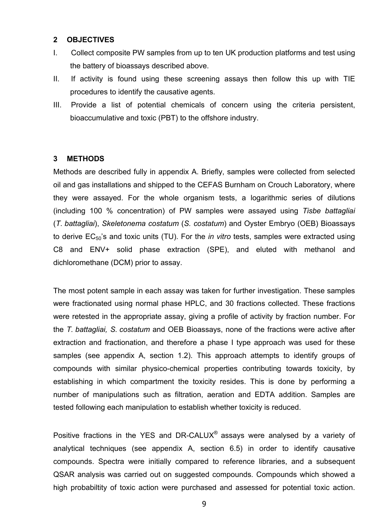### **2 OBJECTIVES**

- I. Collect composite PW samples from up to ten UK production platforms and test using the battery of bioassays described above.
- II. If activity is found using these screening assays then follow this up with TIE procedures to identify the causative agents.
- III. Provide a list of potential chemicals of concern using the criteria persistent, bioaccumulative and toxic (PBT) to the offshore industry.

## **3 METHODS**

Methods are described fully in appendix A. Briefly, samples were collected from selected oil and gas installations and shipped to the CEFAS Burnham on Crouch Laboratory, where they were assayed. For the whole organism tests, a logarithmic series of dilutions (including 100 % concentration) of PW samples were assayed using *Tisbe battagliai* (*T. battagliai*), *Skeletonema costatum* (*S. costatum*) and Oyster Embryo (OEB) Bioassays to derive EC50's and toxic units (TU). For the *in vitro* tests, samples were extracted using C8 and ENV+ solid phase extraction (SPE), and eluted with methanol and dichloromethane (DCM) prior to assay.

The most potent sample in each assay was taken for further investigation. These samples were fractionated using normal phase HPLC, and 30 fractions collected. These fractions were retested in the appropriate assay, giving a profile of activity by fraction number. For the *T. battagliai, S. costatum* and OEB Bioassays, none of the fractions were active after extraction and fractionation, and therefore a phase I type approach was used for these samples (see appendix A, section 1.2). This approach attempts to identify groups of compounds with similar physico-chemical properties contributing towards toxicity, by establishing in which compartment the toxicity resides. This is done by performing a number of manipulations such as filtration, aeration and EDTA addition. Samples are tested following each manipulation to establish whether toxicity is reduced.

Positive fractions in the YES and DR-CALUX® assays were analysed by a variety of analytical techniques (see appendix A, section 6.5) in order to identify causative compounds. Spectra were initially compared to reference libraries, and a subsequent QSAR analysis was carried out on suggested compounds. Compounds which showed a high probabiltity of toxic action were purchased and assessed for potential toxic action.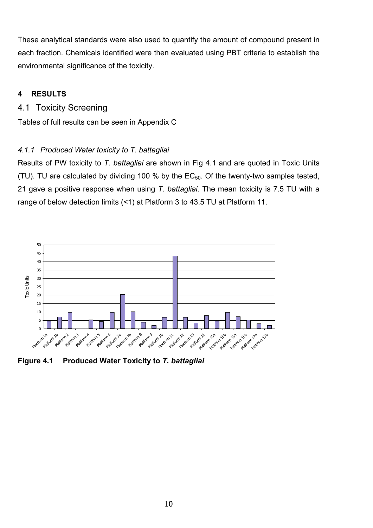These analytical standards were also used to quantify the amount of compound present in each fraction. Chemicals identified were then evaluated using PBT criteria to establish the environmental significance of the toxicity.

## **4 RESULTS**

## 4.1 Toxicity Screening

Tables of full results can be seen in Appendix C

## *4.1.1 Produced Water toxicity to T. battagliai*

Results of PW toxicity to *T. battagliai* are shown in Fig 4.1 and are quoted in Toxic Units (TU). TU are calculated by dividing 100 % by the  $EC_{50}$ . Of the twenty-two samples tested, 21 gave a positive response when using *T. battagliai*. The mean toxicity is 7.5 TU with a range of below detection limits (<1) at Platform 3 to 43.5 TU at Platform 11.



**Figure 4.1 Produced Water Toxicity to** *T. battagliai*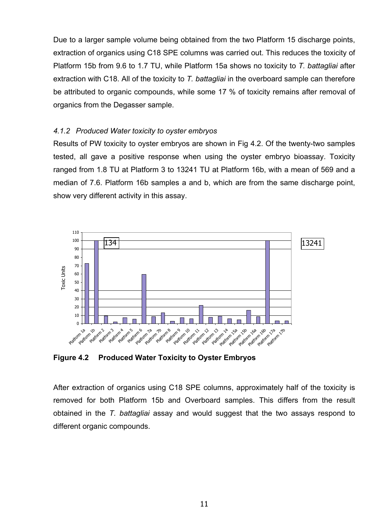Due to a larger sample volume being obtained from the two Platform 15 discharge points, extraction of organics using C18 SPE columns was carried out. This reduces the toxicity of Platform 15b from 9.6 to 1.7 TU, while Platform 15a shows no toxicity to *T. battagliai* after extraction with C18. All of the toxicity to *T. battagliai* in the overboard sample can therefore be attributed to organic compounds, while some 17 % of toxicity remains after removal of organics from the Degasser sample.

## *4.1.2 Produced Water toxicity to oyster embryos*

Results of PW toxicity to oyster embryos are shown in Fig 4.2. Of the twenty-two samples tested, all gave a positive response when using the oyster embryo bioassay. Toxicity ranged from 1.8 TU at Platform 3 to 13241 TU at Platform 16b, with a mean of 569 and a median of 7.6. Platform 16b samples a and b, which are from the same discharge point, show very different activity in this assay.



**Figure 4.2 Produced Water Toxicity to Oyster Embryos** 

After extraction of organics using C18 SPE columns, approximately half of the toxicity is removed for both Platform 15b and Overboard samples. This differs from the result obtained in the *T. battagliai* assay and would suggest that the two assays respond to different organic compounds.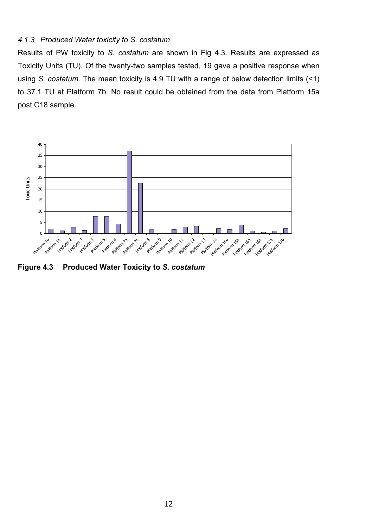## *4.1.3 Produced Water toxicity to S. costatum*

Results of PW toxicity to *S. costatum* are shown in Fig 4.3. Results are expressed as Toxicity Units (TU). Of the twenty-two samples tested, 19 gave a positive response when using *S. costatum*. The mean toxicity is 4.9 TU with a range of below detection limits (<1) to 37.1 TU at Platform 7b. No result could be obtained from the data from Platform 15a post C18 sample.



**Figure 4.3 Produced Water Toxicity to** *S. costatum*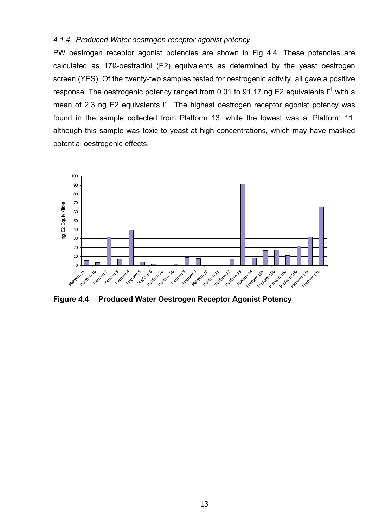## *4.1.4 Produced Water oestrogen receptor agonist potency*

PW oestrogen receptor agonist potencies are shown in Fig 4.4. These potencies are calculated as 17ß-oestradiol (E2) equivalents as determined by the yeast oestrogen screen (YES). Of the twenty-two samples tested for oestrogenic activity, all gave a positive response. The oestrogenic potency ranged from 0.01 to 91.17 ng E2 equivalents  $I^{-1}$  with a mean of 2.3 ng E2 equivalents  $I^{-1}$ . The highest oestrogen receptor agonist potency was found in the sample collected from Platform 13, while the lowest was at Platform 11, although this sample was toxic to yeast at high concentrations, which may have masked potential oestrogenic effects.



**Figure 4.4 Produced Water Oestrogen Receptor Agonist Potency**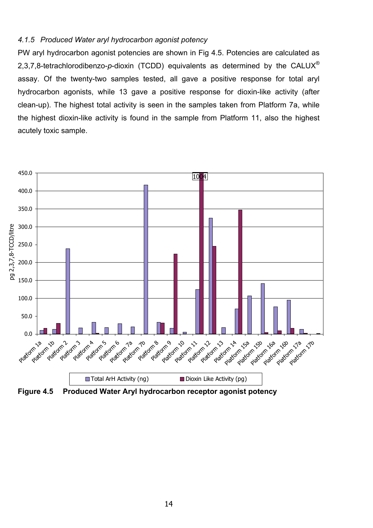#### *4.1.5 Produced Water aryl hydrocarbon agonist potency*

PW aryl hydrocarbon agonist potencies are shown in Fig 4.5. Potencies are calculated as 2,3,7,8-tetrachlorodibenzo-*p*-dioxin (TCDD) equivalents as determined by the CALUX® assay. Of the twenty-two samples tested, all gave a positive response for total aryl hydrocarbon agonists, while 13 gave a positive response for dioxin-like activity (after clean-up). The highest total activity is seen in the samples taken from Platform 7a, while the highest dioxin-like activity is found in the sample from Platform 11, also the highest acutely toxic sample.



**Figure 4.5 Produced Water Aryl hydrocarbon receptor agonist potency**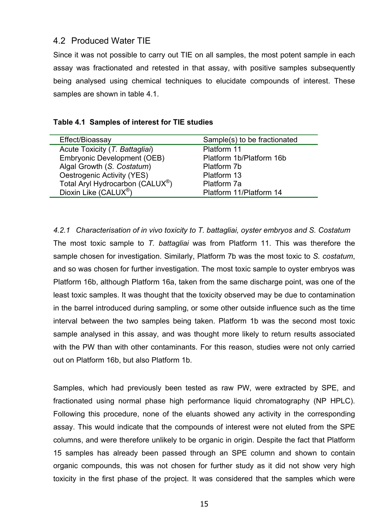## 4.2 Produced Water TIE

Since it was not possible to carry out TIE on all samples, the most potent sample in each assay was fractionated and retested in that assay, with positive samples subsequently being analysed using chemical techniques to elucidate compounds of interest. These samples are shown in table 4.1.

| Effect/Bioassay                    | Sample(s) to be fractionated |
|------------------------------------|------------------------------|
| Acute Toxicity (T. Battagliai)     | Platform 11                  |
| <b>Embryonic Development (OEB)</b> | Platform 1b/Platform 16b     |
| Algal Growth (S. Costatum)         | Platform 7b                  |
| Oestrogenic Activity (YES)         | Platform 13                  |
| Total Aryl Hydrocarbon (CALUX®)    | Platform 7a                  |
| Dioxin Like (CALUX <sup>®</sup> )  | Platform 11/Platform 14      |
|                                    |                              |

*4.2.1 Characterisation of in vivo toxicity to T. battagliai, oyster embryos and S. Costatum*  The most toxic sample to *T. battagliai* was from Platform 11. This was therefore the sample chosen for investigation. Similarly, Platform 7b was the most toxic to *S. costatum*, and so was chosen for further investigation. The most toxic sample to oyster embryos was Platform 16b, although Platform 16a, taken from the same discharge point, was one of the least toxic samples. It was thought that the toxicity observed may be due to contamination in the barrel introduced during sampling, or some other outside influence such as the time interval between the two samples being taken. Platform 1b was the second most toxic sample analysed in this assay, and was thought more likely to return results associated with the PW than with other contaminants. For this reason, studies were not only carried out on Platform 16b, but also Platform 1b.

Samples, which had previously been tested as raw PW, were extracted by SPE, and fractionated using normal phase high performance liquid chromatography (NP HPLC). Following this procedure, none of the eluants showed any activity in the corresponding assay. This would indicate that the compounds of interest were not eluted from the SPE columns, and were therefore unlikely to be organic in origin. Despite the fact that Platform 15 samples has already been passed through an SPE column and shown to contain organic compounds, this was not chosen for further study as it did not show very high toxicity in the first phase of the project. It was considered that the samples which were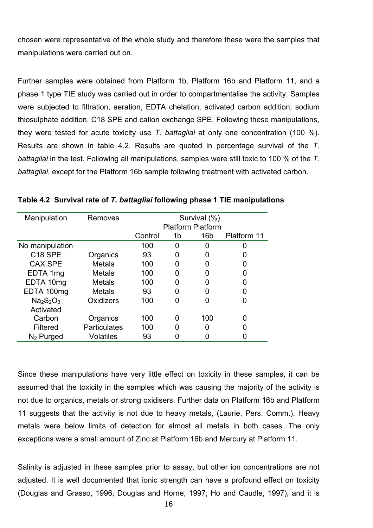chosen were representative of the whole study and therefore these were the samples that manipulations were carried out on.

Further samples were obtained from Platform 1b, Platform 16b and Platform 11, and a phase 1 type TIE study was carried out in order to compartmentalise the activity. Samples were subjected to filtration, aeration, EDTA chelation, activated carbon addition, sodium thiosulphate addition, C18 SPE and cation exchange SPE. Following these manipulations, they were tested for acute toxicity use *T. battagliai* at only one concentration (100 %). Results are shown in table 4.2. Results are quoted in percentage survival of the *T. battagliai* in the test. Following all manipulations, samples were still toxic to 100 % of the *T. battagliai*, except for the Platform 16b sample following treatment with activated carbon.

| Manipulation        | Removes             |         |    | Survival (%)             |             |
|---------------------|---------------------|---------|----|--------------------------|-------------|
|                     |                     |         |    | <b>Platform Platform</b> |             |
|                     |                     | Control | 1b | 16 <sub>b</sub>          | Platform 11 |
| No manipulation     |                     | 100     | 0  | 0                        |             |
| C <sub>18</sub> SPE | Organics            | 93      |    | 0                        |             |
| <b>CAX SPE</b>      | <b>Metals</b>       | 100     |    | 0                        |             |
| EDTA 1mg            | Metals              | 100     |    | 0                        |             |
| EDTA 10mg           | <b>Metals</b>       | 100     |    | 0                        |             |
| EDTA 100mg          | <b>Metals</b>       | 93      | 0  | 0                        |             |
| $Na2S2O3$           | Oxidizers           | 100     |    | 0                        |             |
| Activated           |                     |         |    |                          |             |
| Carbon              | Organics            | 100     |    | 100                      |             |
| Filtered            | <b>Particulates</b> | 100     |    | 0                        |             |
| $N2$ Purged         | <b>Volatiles</b>    | 93      |    |                          |             |

**Table 4.2 Survival rate of** *T. battagliai* **following phase 1 TIE manipulations** 

Since these manipulations have very little effect on toxicity in these samples, it can be assumed that the toxicity in the samples which was causing the majority of the activity is not due to organics, metals or strong oxidisers. Further data on Platform 16b and Platform 11 suggests that the activity is not due to heavy metals, (Laurie, Pers. Comm.). Heavy metals were below limits of detection for almost all metals in both cases. The only exceptions were a small amount of Zinc at Platform 16b and Mercury at Platform 11.

Salinity is adjusted in these samples prior to assay, but other ion concentrations are not adjusted. It is well documented that ionic strength can have a profound effect on toxicity (Douglas and Grasso, 1996; Douglas and Horne, 1997; Ho and Caudle, 1997), and it is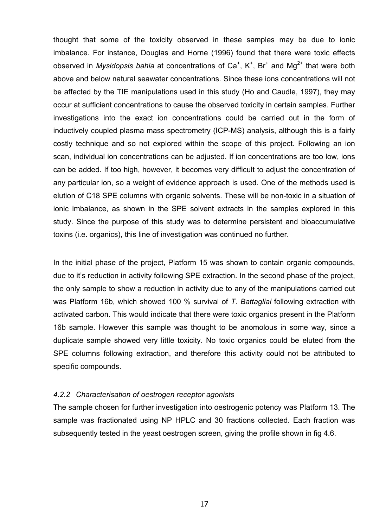thought that some of the toxicity observed in these samples may be due to ionic imbalance. For instance, Douglas and Horne (1996) found that there were toxic effects observed in *Mysidopsis bahia* at concentrations of Ca<sup>+</sup>, K<sup>+</sup>, Br<sup>+</sup> and Mg<sup>2+</sup> that were both above and below natural seawater concentrations. Since these ions concentrations will not be affected by the TIE manipulations used in this study (Ho and Caudle, 1997), they may occur at sufficient concentrations to cause the observed toxicity in certain samples. Further investigations into the exact ion concentrations could be carried out in the form of inductively coupled plasma mass spectrometry (ICP-MS) analysis, although this is a fairly costly technique and so not explored within the scope of this project. Following an ion scan, individual ion concentrations can be adjusted. If ion concentrations are too low, ions can be added. If too high, however, it becomes very difficult to adjust the concentration of any particular ion, so a weight of evidence approach is used. One of the methods used is elution of C18 SPE columns with organic solvents. These will be non-toxic in a situation of ionic imbalance, as shown in the SPE solvent extracts in the samples explored in this study. Since the purpose of this study was to determine persistent and bioaccumulative toxins (i.e. organics), this line of investigation was continued no further.

In the initial phase of the project, Platform 15 was shown to contain organic compounds, due to it's reduction in activity following SPE extraction. In the second phase of the project, the only sample to show a reduction in activity due to any of the manipulations carried out was Platform 16b, which showed 100 % survival of *T. Battagliai* following extraction with activated carbon. This would indicate that there were toxic organics present in the Platform 16b sample. However this sample was thought to be anomolous in some way, since a duplicate sample showed very little toxicity. No toxic organics could be eluted from the SPE columns following extraction, and therefore this activity could not be attributed to specific compounds.

## *4.2.2 Characterisation of oestrogen receptor agonists*

The sample chosen for further investigation into oestrogenic potency was Platform 13. The sample was fractionated using NP HPLC and 30 fractions collected. Each fraction was subsequently tested in the yeast oestrogen screen, giving the profile shown in fig 4.6.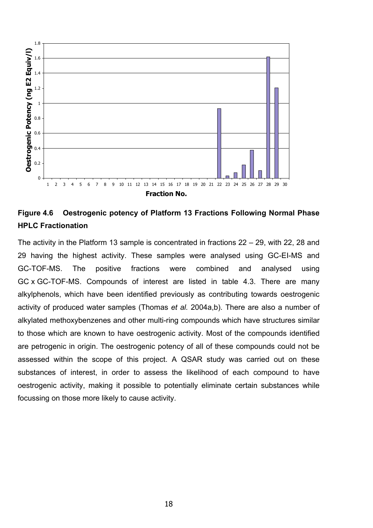

## **Figure 4.6 Oestrogenic potency of Platform 13 Fractions Following Normal Phase HPLC Fractionation**

The activity in the Platform 13 sample is concentrated in fractions 22 – 29, with 22, 28 and 29 having the highest activity. These samples were analysed using GC-EI-MS and GC-TOF-MS. The positive fractions were combined and analysed using GC x GC-TOF-MS. Compounds of interest are listed in table 4.3. There are many alkylphenols, which have been identified previously as contributing towards oestrogenic activity of produced water samples (Thomas *et al.* 2004a,b). There are also a number of alkylated methoxybenzenes and other multi-ring compounds which have structures similar to those which are known to have oestrogenic activity. Most of the compounds identified are petrogenic in origin. The oestrogenic potency of all of these compounds could not be assessed within the scope of this project. A QSAR study was carried out on these substances of interest, in order to assess the likelihood of each compound to have oestrogenic activity, making it possible to potentially eliminate certain substances while focussing on those more likely to cause activity.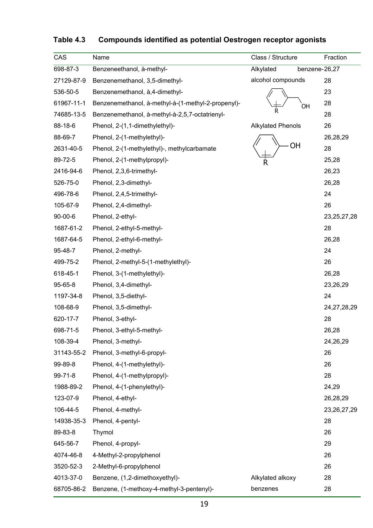| CAS           | Name                                               | Class / Structure          | Fraction       |
|---------------|----------------------------------------------------|----------------------------|----------------|
| 698-87-3      | Benzeneethanol, à-methyl-                          | Alkylated<br>benzene-26,27 |                |
| 27129-87-9    | Benzenemethanol, 3,5-dimethyl-                     | alcohol compounds          | 28             |
| 536-50-5      | Benzenemethanol, à, 4-dimethyl-                    |                            | 23             |
| 61967-11-1    | Benzenemethanol, à-methyl-à-(1-methyl-2-propenyl)- | OH                         | 28             |
| 74685-13-5    | Benzenemethanol, à-methyl-à-2,5,7-octatrienyl-     |                            | 28             |
| 88-18-6       | Phenol, 2-(1,1-dimethylethyl)-                     | <b>Alkylated Phenols</b>   | 26             |
| 88-69-7       | Phenol, 2-(1-methylethyl)-                         |                            | 26,28,29       |
| 2631-40-5     | Phenol, 2-(1-methylethyl)-, methylcarbamate        | OH                         | 28             |
| 89-72-5       | Phenol, 2-(1-methylpropyl)-                        | R                          | 25,28          |
| 2416-94-6     | Phenol, 2,3,6-trimethyl-                           |                            | 26,23          |
| 526-75-0      | Phenol, 2,3-dimethyl-                              |                            | 26,28          |
| 496-78-6      | Phenol, 2,4,5-trimethyl-                           |                            | 24             |
| 105-67-9      | Phenol, 2,4-dimethyl-                              |                            | 26             |
| $90 - 00 - 6$ | Phenol, 2-ethyl-                                   |                            | 23, 25, 27, 28 |
| 1687-61-2     | Phenol, 2-ethyl-5-methyl-                          |                            | 28             |
| 1687-64-5     | Phenol, 2-ethyl-6-methyl-                          |                            | 26,28          |
| 95-48-7       | Phenol, 2-methyl-                                  |                            | 24             |
| 499-75-2      | Phenol, 2-methyl-5-(1-methylethyl)-                |                            | 26             |
| 618-45-1      | Phenol, 3-(1-methylethyl)-                         |                            | 26,28          |
| 95-65-8       | Phenol, 3,4-dimethyl-                              |                            | 23,26,29       |
| 1197-34-8     | Phenol, 3,5-diethyl-                               |                            | 24             |
| 108-68-9      | Phenol, 3,5-dimethyl-                              |                            | 24, 27, 28, 29 |
| 620-17-7      | Phenol, 3-ethyl-                                   |                            | 28             |
| 698-71-5      | Phenol, 3-ethyl-5-methyl-                          |                            | 26,28          |
| 108-39-4      | Phenol, 3-methyl-                                  |                            | 24,26,29       |
| 31143-55-2    | Phenol, 3-methyl-6-propyl-                         |                            | 26             |
| 99-89-8       | Phenol, 4-(1-methylethyl)-                         |                            | 26             |
| 99-71-8       | Phenol, 4-(1-methylpropyl)-                        |                            | 28             |
| 1988-89-2     | Phenol, 4-(1-phenylethyl)-                         |                            | 24,29          |
| 123-07-9      | Phenol, 4-ethyl-                                   |                            | 26,28,29       |
| 106-44-5      | Phenol, 4-methyl-                                  |                            | 23, 26, 27, 29 |
| 14938-35-3    | Phenol, 4-pentyl-                                  |                            | 28             |
| 89-83-8       | Thymol                                             |                            | 26             |
| 645-56-7      | Phenol, 4-propyl-                                  |                            | 29             |
| 4074-46-8     | 4-Methyl-2-propylphenol                            |                            | 26             |
| 3520-52-3     | 2-Methyl-6-propylphenol                            |                            | 26             |
| 4013-37-0     | Benzene, (1,2-dimethoxyethyl)-                     | Alkylated alkoxy           | 28             |
| 68705-86-2    | Benzene, (1-methoxy-4-methyl-3-pentenyl)-          | benzenes                   | 28             |

## **Table 4.3 Compounds identified as potential Oestrogen receptor agonists**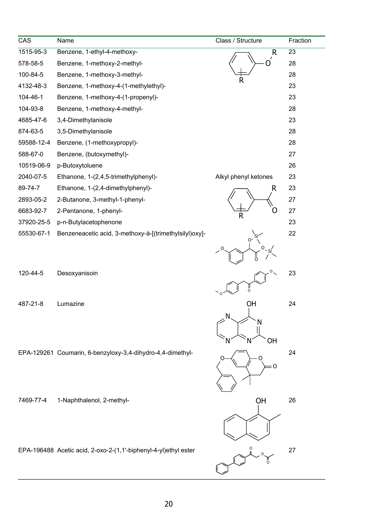| CAS        | Name                                                            | Class / Structure    | Fraction |
|------------|-----------------------------------------------------------------|----------------------|----------|
| 1515-95-3  | Benzene, 1-ethyl-4-methoxy-                                     | R                    | 23       |
| 578-58-5   | Benzene, 1-methoxy-2-methyl-                                    | $\prime$<br>$\Omega$ | 28       |
| 100-84-5   | Benzene, 1-methoxy-3-methyl-                                    | R                    | 28       |
| 4132-48-3  | Benzene, 1-methoxy-4-(1-methylethyl)-                           |                      | 23       |
| 104-46-1   | Benzene, 1-methoxy-4-(1-propenyl)-                              |                      | 23       |
| 104-93-8   | Benzene, 1-methoxy-4-methyl-                                    |                      | 28       |
| 4685-47-6  | 3,4-Dimethylanisole                                             |                      | 23       |
| 874-63-5   | 3,5-Dimethylanisole                                             |                      | 28       |
| 59588-12-4 | Benzene, (1-methoxypropyl)-                                     |                      | 28       |
| 588-67-0   | Benzene, (butoxymethyl)-                                        |                      | 27       |
| 10519-06-9 | p-Butoxytoluene                                                 |                      | 26       |
| 2040-07-5  | Ethanone, 1-(2,4,5-trimethylphenyl)-                            | Alkyl phenyl ketones | 23       |
| 89-74-7    | Ethanone, 1-(2,4-dimethylphenyl)-                               | R                    | 23       |
| 2893-05-2  | 2-Butanone, 3-methyl-1-phenyl-                                  |                      | 27       |
| 6683-92-7  | 2-Pentanone, 1-phenyl-                                          | R <sub></sub>        | 27       |
| 37920-25-5 | p-n-Butylacetophenone                                           |                      | 23       |
| 55530-67-1 | Benzeneacetic acid, 3-methoxy-à-[(trimethylsilyl)oxy]-          | 01                   | 22       |
|            |                                                                 | O<br>O               |          |
| 120-44-5   | Desoxyanisoin                                                   | ő                    | 23       |
| 487-21-8   | Lumazine                                                        | ΟH                   | 24       |
|            |                                                                 | N<br>N<br>OН         |          |
|            | EPA-129261 Coumarin, 6-benzyloxy-3,4-dihydro-4,4-dimethyl-      | : 0                  | 24       |
| 7469-77-4  | 1-Naphthalenol, 2-methyl-                                       | OH                   | 26       |
|            | EPA-196488 Acetic acid, 2-oxo-2-(1,1'-biphenyl-4-yl)ethyl ester |                      | 27       |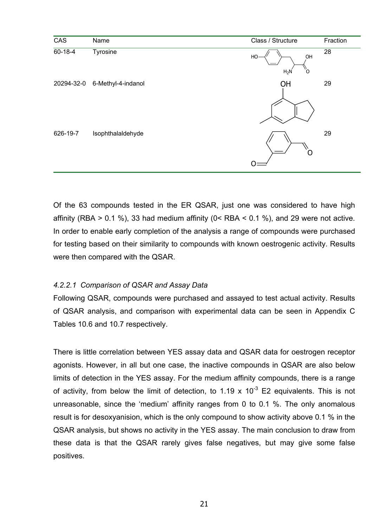

Of the 63 compounds tested in the ER QSAR, just one was considered to have high affinity (RBA  $> 0.1$  %), 33 had medium affinity (0< RBA  $< 0.1$  %), and 29 were not active. In order to enable early completion of the analysis a range of compounds were purchased for testing based on their similarity to compounds with known oestrogenic activity. Results were then compared with the QSAR.

## *4.2.2.1 Comparison of QSAR and Assay Data*

Following QSAR, compounds were purchased and assayed to test actual activity. Results of QSAR analysis, and comparison with experimental data can be seen in Appendix C Tables 10.6 and 10.7 respectively.

There is little correlation between YES assay data and QSAR data for oestrogen receptor agonists. However, in all but one case, the inactive compounds in QSAR are also below limits of detection in the YES assay. For the medium affinity compounds, there is a range of activity, from below the limit of detection, to 1.19 x  $10^{-3}$  E2 equivalents. This is not unreasonable, since the 'medium' affinity ranges from 0 to 0.1 %. The only anomalous result is for desoxyanision, which is the only compound to show activity above 0.1 % in the QSAR analysis, but shows no activity in the YES assay. The main conclusion to draw from these data is that the QSAR rarely gives false negatives, but may give some false positives.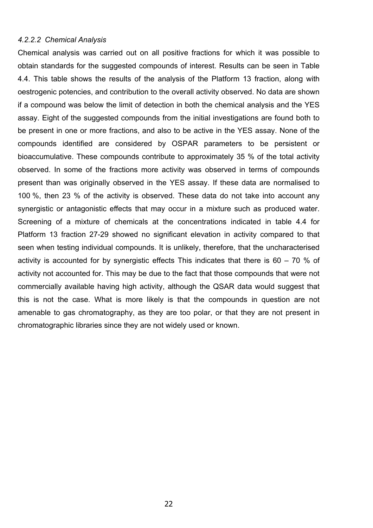#### *4.2.2.2 Chemical Analysis*

Chemical analysis was carried out on all positive fractions for which it was possible to obtain standards for the suggested compounds of interest. Results can be seen in Table 4.4. This table shows the results of the analysis of the Platform 13 fraction, along with oestrogenic potencies, and contribution to the overall activity observed. No data are shown if a compound was below the limit of detection in both the chemical analysis and the YES assay. Eight of the suggested compounds from the initial investigations are found both to be present in one or more fractions, and also to be active in the YES assay. None of the compounds identified are considered by OSPAR parameters to be persistent or bioaccumulative. These compounds contribute to approximately 35 % of the total activity observed. In some of the fractions more activity was observed in terms of compounds present than was originally observed in the YES assay. If these data are normalised to 100 %, then 23 % of the activity is observed. These data do not take into account any synergistic or antagonistic effects that may occur in a mixture such as produced water. Screening of a mixture of chemicals at the concentrations indicated in table 4.4 for Platform 13 fraction 27-29 showed no significant elevation in activity compared to that seen when testing individual compounds. It is unlikely, therefore, that the uncharacterised activity is accounted for by synergistic effects This indicates that there is 60 – 70 % of activity not accounted for. This may be due to the fact that those compounds that were not commercially available having high activity, although the QSAR data would suggest that this is not the case. What is more likely is that the compounds in question are not amenable to gas chromatography, as they are too polar, or that they are not present in chromatographic libraries since they are not widely used or known.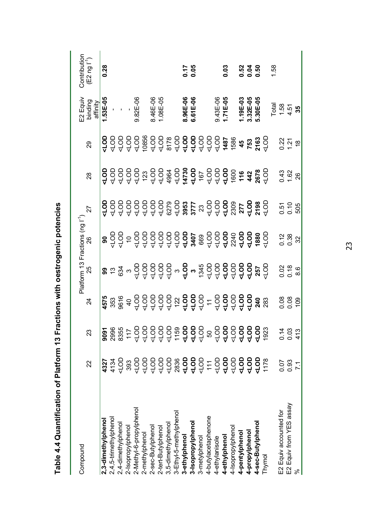| Compound                |             |             |                                                                                                                                                                                                                                                                                                                     |                                                                               |                                                                                                                                                                                                                                                                                                                                                           |                                 |                            |                  | =2 Equiv                               | Contribution                         |
|-------------------------|-------------|-------------|---------------------------------------------------------------------------------------------------------------------------------------------------------------------------------------------------------------------------------------------------------------------------------------------------------------------|-------------------------------------------------------------------------------|-----------------------------------------------------------------------------------------------------------------------------------------------------------------------------------------------------------------------------------------------------------------------------------------------------------------------------------------------------------|---------------------------------|----------------------------|------------------|----------------------------------------|--------------------------------------|
|                         | 22          | 23          | 24                                                                                                                                                                                                                                                                                                                  |                                                                               |                                                                                                                                                                                                                                                                                                                                                           | 27                              | 28                         | 29               | binding<br>affinity                    | $(52 \, \text{ng} \, \text{m}^{-1})$ |
| 2,3-dimethylphenol      | 4327        | <b>P606</b> |                                                                                                                                                                                                                                                                                                                     |                                                                               |                                                                                                                                                                                                                                                                                                                                                           |                                 |                            |                  | $1.53E - 05$                           | 0.28                                 |
| 2,4,5-trimethylphenol   | 4134        | 2996        |                                                                                                                                                                                                                                                                                                                     |                                                                               |                                                                                                                                                                                                                                                                                                                                                           |                                 |                            |                  |                                        |                                      |
| 2,4-dimethylpheno       | $rac{1}{2}$ | 8355        |                                                                                                                                                                                                                                                                                                                     |                                                                               |                                                                                                                                                                                                                                                                                                                                                           |                                 |                            | 2222             | $\hat{\mathbf{r}} = \hat{\mathbf{r}}$  |                                      |
| 2-Isopropylphenol       | 393         | 117         |                                                                                                                                                                                                                                                                                                                     |                                                                               |                                                                                                                                                                                                                                                                                                                                                           |                                 |                            |                  |                                        |                                      |
| 2-Methyl-6-propylphenol | 100         | 100         |                                                                                                                                                                                                                                                                                                                     |                                                                               |                                                                                                                                                                                                                                                                                                                                                           |                                 |                            |                  | 9.82E-06                               |                                      |
| 2-methylphenol          | 100         | $rac{1}{2}$ | $\frac{3}{4}$ $\frac{2}{3}$ $\frac{2}{9}$ $\frac{4}{9}$ $\frac{5}{9}$ $\frac{5}{9}$ $\frac{5}{9}$ $\frac{5}{9}$ $\frac{5}{9}$ $\frac{5}{9}$ $\frac{5}{9}$ $\frac{5}{9}$ $\frac{5}{9}$ $\frac{5}{9}$ $\frac{5}{9}$ $\frac{5}{9}$ $\frac{5}{9}$ $\frac{5}{9}$ $\frac{5}{9}$ $\frac{5}{9}$ $\frac{5}{9}$ $\frac{5}{9}$ | <b><math>3.58</math></b> $3.499999$ $3.499999$ $3.499999$ $3.49999$ $3.49999$ | $\frac{6}{8}$ $\frac{6}{9}$ $\frac{6}{9}$ $\frac{6}{9}$ $\frac{6}{9}$ $\frac{6}{9}$ $\frac{6}{9}$ $\frac{6}{9}$ $\frac{6}{9}$ $\frac{6}{9}$ $\frac{6}{9}$ $\frac{6}{9}$ $\frac{6}{9}$ $\frac{6}{9}$ $\frac{6}{9}$ $\frac{6}{9}$ $\frac{6}{9}$ $\frac{6}{9}$ $\frac{6}{9}$ $\frac{6}{9}$ $\frac{6}{9}$ $\frac{6}{9}$ $\frac{6}{9}$ $\frac{6}{9}$ $\frac{6$ |                                 | 29999537243772763728377837 |                  |                                        |                                      |
| 2-sec-Butylphenol       | $rac{1}{2}$ | 100         |                                                                                                                                                                                                                                                                                                                     |                                                                               |                                                                                                                                                                                                                                                                                                                                                           |                                 |                            |                  | 90-∃91.                                |                                      |
| 2-tert-Butylphenol      | 100         | 100         |                                                                                                                                                                                                                                                                                                                     |                                                                               |                                                                                                                                                                                                                                                                                                                                                           |                                 |                            |                  | 1.08E-05                               |                                      |
| 3,5-dimethylphenol      | $rac{1}{2}$ | 100         |                                                                                                                                                                                                                                                                                                                     |                                                                               |                                                                                                                                                                                                                                                                                                                                                           |                                 |                            |                  |                                        |                                      |
| 3-Ethyl-5-methylphenol  | 2836        | 1159        |                                                                                                                                                                                                                                                                                                                     |                                                                               |                                                                                                                                                                                                                                                                                                                                                           |                                 |                            |                  |                                        |                                      |
| 3-ethylphenol           | 400         | <b>ATOL</b> |                                                                                                                                                                                                                                                                                                                     |                                                                               |                                                                                                                                                                                                                                                                                                                                                           |                                 |                            |                  |                                        |                                      |
| 3-Isopropylpheno        | 100         | <b>ATOL</b> |                                                                                                                                                                                                                                                                                                                     |                                                                               |                                                                                                                                                                                                                                                                                                                                                           |                                 |                            |                  | 8.96E-06<br>6.61E-06                   | 0.17<br>0.05                         |
| 3-metylphenol           | 100         | 100         |                                                                                                                                                                                                                                                                                                                     |                                                                               |                                                                                                                                                                                                                                                                                                                                                           |                                 |                            |                  |                                        |                                      |
| 4-butylacetaphenone     | 111         | 50          |                                                                                                                                                                                                                                                                                                                     |                                                                               |                                                                                                                                                                                                                                                                                                                                                           |                                 |                            |                  |                                        |                                      |
| 4-ethylanisole          | 100         | 400         |                                                                                                                                                                                                                                                                                                                     |                                                                               |                                                                                                                                                                                                                                                                                                                                                           |                                 |                            |                  | 9.43E-06                               |                                      |
| 4-ethylphenol           | 4LOD        | dO7         |                                                                                                                                                                                                                                                                                                                     |                                                                               |                                                                                                                                                                                                                                                                                                                                                           |                                 |                            |                  | 1.71E-05                               | 0.03                                 |
| 4-Isopropylphenol       | 100         | 100         |                                                                                                                                                                                                                                                                                                                     |                                                                               |                                                                                                                                                                                                                                                                                                                                                           |                                 |                            |                  |                                        |                                      |
| 4-pentylphenol          | 4LOD        | <b>40D</b>  |                                                                                                                                                                                                                                                                                                                     |                                                                               |                                                                                                                                                                                                                                                                                                                                                           |                                 |                            |                  | 1.19E-03<br>3.32E-05<br>5.30E-05       |                                      |
| 4-propylphenol          | 4LOD        | 100         |                                                                                                                                                                                                                                                                                                                     |                                                                               |                                                                                                                                                                                                                                                                                                                                                           |                                 |                            |                  |                                        | <u>ន</u><br>១.១.<br>១.១              |
| 4-sec-Butylphenol       | 400         | dO7         |                                                                                                                                                                                                                                                                                                                     |                                                                               |                                                                                                                                                                                                                                                                                                                                                           |                                 |                            |                  |                                        |                                      |
| Thymol                  | 1178        | 1923        |                                                                                                                                                                                                                                                                                                                     |                                                                               |                                                                                                                                                                                                                                                                                                                                                           |                                 |                            |                  |                                        |                                      |
|                         |             |             |                                                                                                                                                                                                                                                                                                                     |                                                                               |                                                                                                                                                                                                                                                                                                                                                           |                                 |                            |                  |                                        | 1.58                                 |
| E2 Equiv accounted for  | 0.07        | 0.14        |                                                                                                                                                                                                                                                                                                                     |                                                                               |                                                                                                                                                                                                                                                                                                                                                           |                                 |                            |                  | $\frac{1}{1}$ .58<br>1.58<br>4.5<br>35 |                                      |
| E2 Equiv from YES assay | 0.93        | 0.03        | 8889                                                                                                                                                                                                                                                                                                                | 0.986                                                                         | $0.38$<br>$0.32$                                                                                                                                                                                                                                                                                                                                          | ០.១<br>០.១<br><mark>5</mark> 05 | $7.62$<br>$7.62$           | <u>23 ភ្នំ ត</u> |                                        |                                      |
|                         | 7.1         | 413         |                                                                                                                                                                                                                                                                                                                     |                                                                               |                                                                                                                                                                                                                                                                                                                                                           |                                 |                            |                  |                                        |                                      |

Table 4.4 Quantification of Platform 13 Fractions with oestrogenic potencies **Table 4.4 Quantification of Platform 13 Fractions with oestrogenic potencies**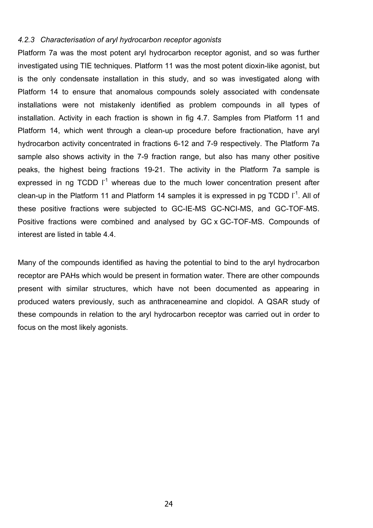#### *4.2.3 Characterisation of aryl hydrocarbon receptor agonists*

Platform 7a was the most potent aryl hydrocarbon receptor agonist, and so was further investigated using TIE techniques. Platform 11 was the most potent dioxin-like agonist, but is the only condensate installation in this study, and so was investigated along with Platform 14 to ensure that anomalous compounds solely associated with condensate installations were not mistakenly identified as problem compounds in all types of installation. Activity in each fraction is shown in fig 4.7. Samples from Platform 11 and Platform 14, which went through a clean-up procedure before fractionation, have aryl hydrocarbon activity concentrated in fractions 6-12 and 7-9 respectively. The Platform 7a sample also shows activity in the 7-9 fraction range, but also has many other positive peaks, the highest being fractions 19-21. The activity in the Platform 7a sample is expressed in ng  $TCDD$   $I<sup>-1</sup>$  whereas due to the much lower concentration present after clean-up in the Platform 11 and Platform 14 samples it is expressed in pg TCDD  $I^{-1}$ . All of these positive fractions were subjected to GC-IE-MS GC-NCI-MS, and GC-TOF-MS. Positive fractions were combined and analysed by GC x GC-TOF-MS. Compounds of interest are listed in table 4.4.

Many of the compounds identified as having the potential to bind to the aryl hydrocarbon receptor are PAHs which would be present in formation water. There are other compounds present with similar structures, which have not been documented as appearing in produced waters previously, such as anthraceneamine and clopidol. A QSAR study of these compounds in relation to the aryl hydrocarbon receptor was carried out in order to focus on the most likely agonists.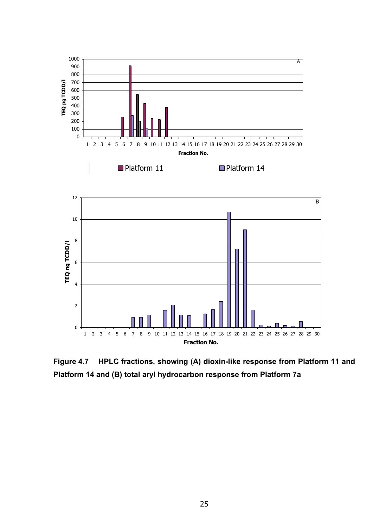

**Figure 4.7 HPLC fractions, showing (A) dioxin-like response from Platform 11 and Platform 14 and (B) total aryl hydrocarbon response from Platform 7a**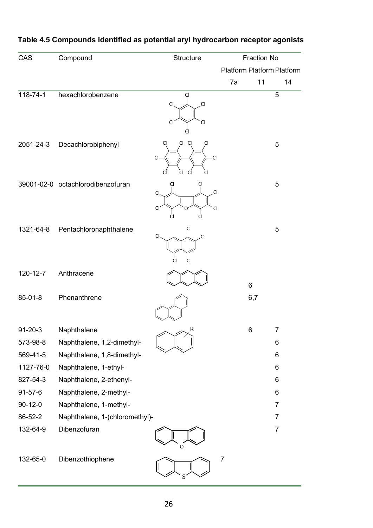| CAS            | Compound                          | Structure                                                      |                | <b>Fraction No</b> |                                   |
|----------------|-----------------------------------|----------------------------------------------------------------|----------------|--------------------|-----------------------------------|
|                |                                   |                                                                |                |                    | <b>Platform Platform Platform</b> |
|                |                                   |                                                                | 7a             | 11                 | 14                                |
| 118-74-1       | hexachlorobenzene                 | Cl<br>CI.<br>$\overline{C}$<br>Cl <sub>i</sub><br>Cl           |                |                    | 5                                 |
| 2051-24-3      | Decachlorobiphenyl                | Cl<br>Cl<br>Cl<br>C1<br>$\overline{C}$<br>Cl<br>Cl<br>Cl<br>CI |                |                    | 5                                 |
|                | 39001-02-0 octachlorodibenzofuran | C<br>$\mathsf{C}$<br>Cl<br>C<br>CI<br>ი                        |                |                    | 5                                 |
| 1321-64-8      | Pentachloronaphthalene            | CI<br>CI.<br>$\overline{C}$<br>CI                              |                |                    | 5                                 |
| $120 - 12 - 7$ | Anthracene                        |                                                                |                | 6                  |                                   |
| 85-01-8        | Phenanthrene                      |                                                                |                | 6,7                |                                   |
| $91 - 20 - 3$  | Naphthalene                       | R                                                              |                | 6                  | $\overline{7}$                    |
| 573-98-8       | Naphthalene, 1,2-dimethyl-        |                                                                |                |                    | 6                                 |
| 569-41-5       | Naphthalene, 1,8-dimethyl-        |                                                                |                |                    | 6                                 |
| 1127-76-0      | Naphthalene, 1-ethyl-             |                                                                |                |                    | 6                                 |
| 827-54-3       | Naphthalene, 2-ethenyl-           |                                                                |                |                    | 6                                 |
| $91 - 57 - 6$  | Naphthalene, 2-methyl-            |                                                                |                |                    | 6                                 |
| $90 - 12 - 0$  | Naphthalene, 1-methyl-            |                                                                |                |                    | $\overline{7}$                    |
| 86-52-2        | Naphthalene, 1-(chloromethyl)-    |                                                                |                |                    | $\overline{7}$                    |
| 132-64-9       | Dibenzofuran                      |                                                                |                |                    | $\overline{7}$                    |
| 132-65-0       | Dibenzothiophene                  |                                                                | $\overline{7}$ |                    |                                   |

## **Table 4.5 Compounds identified as potential aryl hydrocarbon receptor agonists**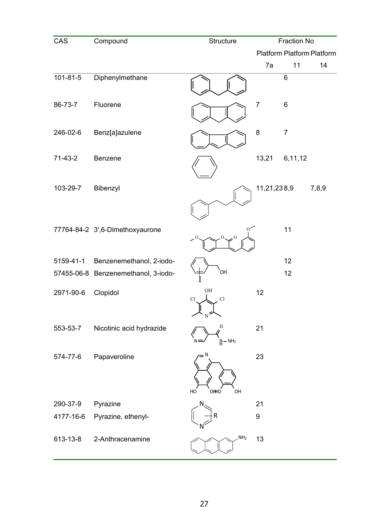| CAS            | Compound                            | Structure            |                  | <b>Fraction No</b>                |       |
|----------------|-------------------------------------|----------------------|------------------|-----------------------------------|-------|
|                |                                     |                      |                  | <b>Platform Platform Platform</b> |       |
|                |                                     |                      | 7a               | 11                                | 14    |
| $101 - 81 - 5$ | Diphenylmethane                     |                      |                  | 6                                 |       |
| 86-73-7        | Fluorene                            |                      | $\overline{7}$   | 6                                 |       |
| 246-02-6       | Benz[a]azulene                      |                      | 8                | $\overline{7}$                    |       |
| $71-43-2$      | Benzene                             |                      | 13,21            | 6,11,12                           |       |
| 103-29-7       | Bibenzyl                            |                      | 11,21,238,9      |                                   | 7,8,9 |
|                | 77764-84-2 3',6-Dimethoxyaurone     | $^{\circ}$           |                  | 11                                |       |
| 5159-41-1      | Benzenemethanol, 2-iodo-            |                      |                  | 12                                |       |
|                | 57455-06-8 Benzenemethanol, 3-iodo- | `ОН                  |                  | 12                                |       |
| 2971-90-6      | Clopidol                            | $\rm OH$<br>Cl<br>Cl | 12               |                                   |       |
| 553-53-7       | Nicotinic acid hydrazide            | O<br>$N - NH2$       | 21               |                                   |       |
| 574-77-6       | Papaveroline                        | HO<br>OHHO<br>OH     | 23               |                                   |       |
| 290-37-9       | Pyrazine                            |                      | 21               |                                   |       |
| 4177-16-6      | Pyrazine, ethenyl-                  |                      | $\boldsymbol{9}$ |                                   |       |
| 613-13-8       | 2-Anthracenamine                    | NH <sub>2</sub>      | 13               |                                   |       |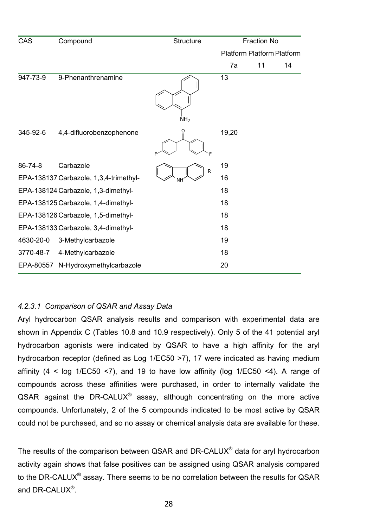| CAS       | Compound                               | Structure       |                                   | <b>Fraction No</b> |    |
|-----------|----------------------------------------|-----------------|-----------------------------------|--------------------|----|
|           |                                        |                 | <b>Platform Platform Platform</b> |                    |    |
|           |                                        |                 | 7a                                | 11                 | 14 |
| 947-73-9  | 9-Phenanthrenamine                     | NH <sub>2</sub> | 13                                |                    |    |
| 345-92-6  | 4,4-difluorobenzophenone               | O               | 19,20                             |                    |    |
| 86-74-8   | Carbazole                              | R               | 19                                |                    |    |
|           | EPA-138137 Carbazole, 1,3,4-trimethyl- | ΝH              | 16                                |                    |    |
|           | EPA-138124 Carbazole, 1,3-dimethyl-    |                 | 18                                |                    |    |
|           | EPA-138125 Carbazole, 1,4-dimethyl-    |                 | 18                                |                    |    |
|           | EPA-138126 Carbazole, 1,5-dimethyl-    |                 | 18                                |                    |    |
|           | EPA-138133 Carbazole, 3,4-dimethyl-    |                 | 18                                |                    |    |
| 4630-20-0 | 3-Methylcarbazole                      |                 | 19                                |                    |    |
| 3770-48-7 | 4-Methylcarbazole                      |                 | 18                                |                    |    |
| EPA-80557 | N-Hydroxymethylcarbazole               |                 | 20                                |                    |    |

## *4.2.3.1 Comparison of QSAR and Assay Data*

Aryl hydrocarbon QSAR analysis results and comparison with experimental data are shown in Appendix C (Tables 10.8 and 10.9 respectively). Only 5 of the 41 potential aryl hydrocarbon agonists were indicated by QSAR to have a high affinity for the aryl hydrocarbon receptor (defined as Log 1/EC50 >7), 17 were indicated as having medium affinity (4 < log 1/EC50 <7), and 19 to have low affinity (log 1/EC50 <4). A range of compounds across these affinities were purchased, in order to internally validate the  $QSAR$  against the DR-CALUX<sup>®</sup> assay, although concentrating on the more active compounds. Unfortunately, 2 of the 5 compounds indicated to be most active by QSAR could not be purchased, and so no assay or chemical analysis data are available for these.

The results of the comparison between QSAR and DR-CALUX® data for aryl hydrocarbon activity again shows that false positives can be assigned using QSAR analysis compared to the DR-CALUX<sup>®</sup> assay. There seems to be no correlation between the results for QSAR and DR-CALUX<sup>®</sup>.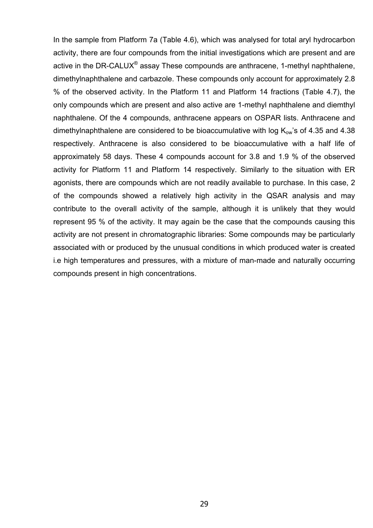In the sample from Platform 7a (Table 4.6), which was analysed for total aryl hydrocarbon activity, there are four compounds from the initial investigations which are present and are active in the DR-CALUX<sup>®</sup> assay These compounds are anthracene, 1-methyl naphthalene, dimethylnaphthalene and carbazole. These compounds only account for approximately 2.8 % of the observed activity. In the Platform 11 and Platform 14 fractions (Table 4.7), the only compounds which are present and also active are 1-methyl naphthalene and diemthyl naphthalene. Of the 4 compounds, anthracene appears on OSPAR lists. Anthracene and dimethylnaphthalene are considered to be bioaccumulative with log  $K_{ow}$ 's of 4.35 and 4.38 respectively. Anthracene is also considered to be bioaccumulative with a half life of approximately 58 days. These 4 compounds account for 3.8 and 1.9 % of the observed activity for Platform 11 and Platform 14 respectively. Similarly to the situation with ER agonists, there are compounds which are not readily available to purchase. In this case, 2 of the compounds showed a relatively high activity in the QSAR analysis and may contribute to the overall activity of the sample, although it is unlikely that they would represent 95 % of the activity. It may again be the case that the compounds causing this activity are not present in chromatographic libraries: Some compounds may be particularly associated with or produced by the unusual conditions in which produced water is created i.e high temperatures and pressures, with a mixture of man-made and naturally occurring compounds present in high concentrations.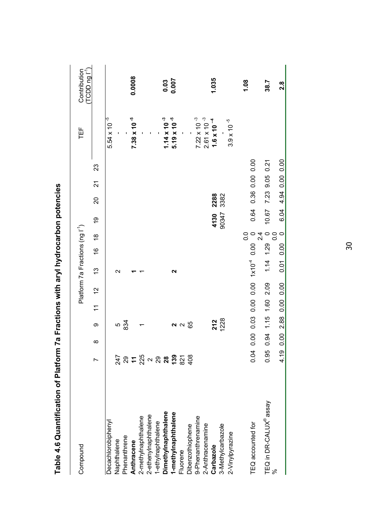| Compound                           |                                                                                                           |          |                     |                         |    | Platform 7a Fractions (ng l'1)  |                                         |                             |       |                |                         |    | 世                     | $(TCDD ng I-1)$<br>Contribution |
|------------------------------------|-----------------------------------------------------------------------------------------------------------|----------|---------------------|-------------------------|----|---------------------------------|-----------------------------------------|-----------------------------|-------|----------------|-------------------------|----|-----------------------|---------------------------------|
|                                    | r                                                                                                         | $\infty$ | တ                   | $\overline{\mathbf{r}}$ | 12 | 13                              | $\frac{6}{1}$                           | $\frac{8}{1}$               | Q     | 20             | $\overline{\mathbf{z}}$ | 23 |                       |                                 |
| <b>Decachlorobiphenyl</b>          |                                                                                                           |          |                     |                         |    |                                 |                                         |                             |       |                |                         |    | $5.54 \times 10^{-5}$ |                                 |
| Naphthalene                        |                                                                                                           |          |                     |                         |    | $\mathbf{\Omega}$               |                                         |                             |       |                |                         |    |                       |                                 |
| Phenanthrene                       |                                                                                                           |          | ნ<br>834            |                         |    |                                 |                                         |                             |       |                |                         |    |                       |                                 |
| Anthracene                         |                                                                                                           |          |                     |                         |    |                                 |                                         |                             |       |                |                         |    | $7.38 \times 10^{-5}$ | 0.0008                          |
| 2-methylnaphthalene                |                                                                                                           |          |                     |                         |    |                                 |                                         |                             |       |                |                         |    |                       |                                 |
| 2-ethenylnaphthalene               |                                                                                                           |          |                     |                         |    |                                 |                                         |                             |       |                |                         |    |                       |                                 |
| 1-ethylnaphthalene                 |                                                                                                           |          |                     |                         |    |                                 |                                         |                             |       |                |                         |    |                       |                                 |
| DimethyInaphthalene                |                                                                                                           |          |                     |                         |    |                                 |                                         |                             |       |                |                         |    | $1.14 \times 10^{-3}$ | 0.03                            |
| 1-methylnaphthalene                | $\frac{1}{2}$ 3 = $\frac{15}{21}$ $\sim$ 3 $\frac{25}{21}$ $\frac{5}{21}$ $\frac{25}{21}$ $\frac{25}{21}$ |          |                     |                         |    | 2                               |                                         |                             |       |                |                         |    | $5.19 \times 10^{-5}$ | 0.007                           |
| Fluorene                           |                                                                                                           |          | $\sim$ $\sim$       |                         |    |                                 |                                         |                             |       |                |                         |    |                       |                                 |
| Dibenzothiophene                   |                                                                                                           |          | 89                  |                         |    |                                 |                                         |                             |       |                |                         |    |                       |                                 |
| 9-Phenanthrenamine                 |                                                                                                           |          |                     |                         |    |                                 |                                         |                             |       |                |                         |    | $7.22 \times 10^{-3}$ |                                 |
| 2-Anthracenamine                   |                                                                                                           |          |                     |                         |    |                                 |                                         |                             |       |                |                         |    | $2.61 \times 10^{-3}$ |                                 |
| Carbazole                          |                                                                                                           |          | 212                 |                         |    |                                 |                                         |                             | 4130  | 2288           |                         |    | $1.6 \times 10^{-4}$  | 1.035                           |
| 3-Methylcarbazole                  |                                                                                                           |          | 1228                |                         |    |                                 |                                         |                             | 90347 | 3382           |                         |    |                       |                                 |
| 2-Vinylpyrazine                    |                                                                                                           |          |                     |                         |    |                                 |                                         |                             |       |                |                         |    | $3.9 \times 10^{-5}$  |                                 |
|                                    |                                                                                                           |          |                     |                         |    |                                 |                                         |                             |       |                |                         |    |                       | 1.08                            |
| TEQ accounted for                  | 0.04                                                                                                      |          | 0.00 0.03           |                         |    | $0.00000001$ $1 \times 10^{-4}$ | $\begin{matrix}0.0 \\ 0.00\end{matrix}$ |                             | 0.64  | 0.36 0.00 0.00 |                         |    |                       |                                 |
| TEQ in DR-CALUX <sup>®</sup> assay | 0.95                                                                                                      |          | 0.94 1.15 1.60 2.09 |                         |    | 1.14                            | $1.29$ 0                                | $\frac{4}{2}$               | 10.67 | 7.23 9.05 0.21 |                         |    |                       | 38.7                            |
| ಸಿ                                 | 4.19                                                                                                      | 0.00     | 2.88 0.00 0.00      |                         |    | 0.01                            | 0.00                                    | $\circ$<br>$\overline{0}$ . | 6.04  | 4.94 0.00 0.00 |                         |    |                       | $2.\overline{8}$                |

Table 4.6 Quantification of Platform 7a Fractions with aryl hydrocarbon potencies **Table 4.6 Quantification of Platform 7a Fractions with aryl hydrocarbon potencies**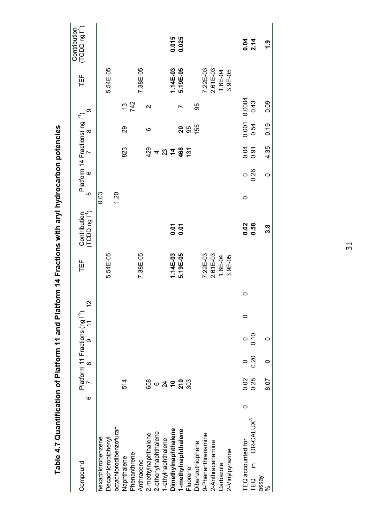| Compound                    | ဖ       |         | Platform 11 Fractions (ng l <sup>-1</sup> )<br>7 8 9 11 |   | $\frac{1}{2}$ | 岜           | $(TCDD n g I-1)$<br>Contribution | LO   | Platform 14 Fractions(ng I <sup>-1</sup> )<br>$\circ$ |               |                 | ග                | 世           | (TCDD ng I <sup>1</sup> )<br>Contribution |
|-----------------------------|---------|---------|---------------------------------------------------------|---|---------------|-------------|----------------------------------|------|-------------------------------------------------------|---------------|-----------------|------------------|-------------|-------------------------------------------|
| hexachlorobenzene           |         |         |                                                         |   |               |             |                                  | 0.03 |                                                       |               |                 |                  |             |                                           |
| Decachlorobiphenyl          |         |         |                                                         |   |               | 5.54E-05    |                                  |      |                                                       |               |                 |                  | 5.54E-05    |                                           |
| octachlorodibenzofuran      |         |         |                                                         |   |               |             |                                  | 1.20 |                                                       |               |                 |                  |             |                                           |
| Naphthalene                 |         | 514     |                                                         |   |               |             |                                  |      |                                                       | 823           | 29              |                  |             |                                           |
| Phenanthrene                |         |         |                                                         |   |               |             |                                  |      |                                                       |               |                 | $\frac{13}{742}$ |             |                                           |
| Anthracene                  |         |         |                                                         |   |               | 7.38E-05    |                                  |      |                                                       |               |                 |                  | 7.38E-05    |                                           |
| 2-methylnaphthalene         |         |         |                                                         |   |               |             |                                  |      |                                                       |               | ဖ               | $\mathbf{\sim}$  |             |                                           |
| 2-ethenylnaphthalene        |         |         |                                                         |   |               |             |                                  |      |                                                       | 429<br>4      |                 |                  |             |                                           |
| 1-ethylnaphthalene          |         | 8862228 |                                                         |   |               |             |                                  |      |                                                       | $23 + 468$    |                 |                  |             |                                           |
| Dimethylnaphthalene         |         |         |                                                         |   |               | 1.14E-03    |                                  |      |                                                       |               |                 |                  | 1.14E-03    | 0.015                                     |
| 1-methylnaphthalene         |         |         |                                                         |   |               | 5.19E-05    | 0.01<br>0.01                     |      |                                                       |               |                 |                  | 5.19E-05    | 0.025                                     |
| Fluorene                    |         |         |                                                         |   |               |             |                                  |      |                                                       | $\frac{5}{1}$ | <b>26</b><br>05 |                  |             |                                           |
| Dibenzothiophene            |         |         |                                                         |   |               |             |                                  |      |                                                       |               | 155             | 99               |             |                                           |
| 9-Phenanthrenamine          |         |         |                                                         |   |               | 7.22E-03    |                                  |      |                                                       |               |                 |                  | 7.22E-03    |                                           |
| 2-Anthracenamine            |         |         |                                                         |   |               | 2.61E-03    |                                  |      |                                                       |               |                 |                  | 2.61E-03    |                                           |
| Carbazole                   |         |         |                                                         |   |               | $1.6E - 04$ |                                  |      |                                                       |               |                 |                  | 1.6E-04     |                                           |
| 2-Vinylpyrazine             |         |         |                                                         |   |               | $3.9E - 05$ |                                  |      |                                                       |               |                 |                  | $3.9E - 05$ |                                           |
| TEQ accounted for           | $\circ$ | 0.02    | $\frac{1}{2}$<br>$\circ$                                | 0 | 0             |             | 0.02                             | 0    | $\circ$                                               | 0.04          | 0.001           | 0.0004           |             |                                           |
| DR-CALUX®<br>≘.<br>TEQ<br>T |         | 0.28    | 0.20                                                    |   |               |             | 0.58                             |      | 0.26                                                  | 0.91          | 0.54            | 0.43             |             | 0.04<br>2.14                              |
| assay<br>್ನೇ                |         | 8.07    | 0<br>$\circ$                                            |   |               |             | 3.8                              |      | $\circ$                                               | 4.35          | 0.19            | 0.09             |             | <u>ი</u>                                  |
|                             |         |         |                                                         |   |               |             |                                  |      |                                                       |               |                 |                  |             |                                           |

Table 4.7 Quantification of Platform 11 and Platform 14 Fractions with aryl hydrocarbon potencies **Table 4.7 Quantification of Platform 11 and Platform 14 Fractions with aryl hydrocarbon potencies**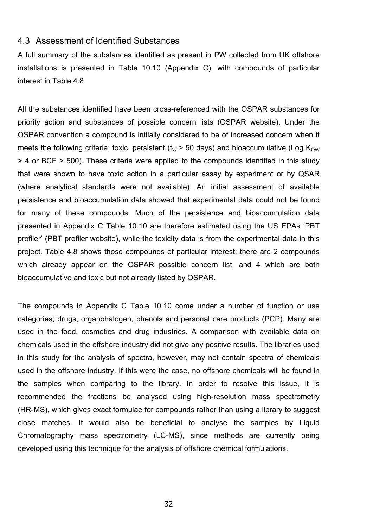#### 4.3 Assessment of Identified Substances

A full summary of the substances identified as present in PW collected from UK offshore installations is presented in Table 10.10 (Appendix C), with compounds of particular interest in Table 4.8.

All the substances identified have been cross-referenced with the OSPAR substances for priority action and substances of possible concern lists (OSPAR website). Under the OSPAR convention a compound is initially considered to be of increased concern when it meets the following criteria: toxic, persistent ( $t_{\%}$  > 50 days) and bioaccumulative (Log K<sub>OW</sub>) > 4 or BCF > 500). These criteria were applied to the compounds identified in this study that were shown to have toxic action in a particular assay by experiment or by QSAR (where analytical standards were not available). An initial assessment of available persistence and bioaccumulation data showed that experimental data could not be found for many of these compounds. Much of the persistence and bioaccumulation data presented in Appendix C Table 10.10 are therefore estimated using the US EPAs 'PBT profiler' (PBT profiler website), while the toxicity data is from the experimental data in this project. Table 4.8 shows those compounds of particular interest; there are 2 compounds which already appear on the OSPAR possible concern list, and 4 which are both bioaccumulative and toxic but not already listed by OSPAR.

The compounds in Appendix C Table 10.10 come under a number of function or use categories; drugs, organohalogen, phenols and personal care products (PCP). Many are used in the food, cosmetics and drug industries. A comparison with available data on chemicals used in the offshore industry did not give any positive results. The libraries used in this study for the analysis of spectra, however, may not contain spectra of chemicals used in the offshore industry. If this were the case, no offshore chemicals will be found in the samples when comparing to the library. In order to resolve this issue, it is recommended the fractions be analysed using high-resolution mass spectrometry (HR-MS), which gives exact formulae for compounds rather than using a library to suggest close matches. It would also be beneficial to analyse the samples by Liquid Chromatography mass spectrometry (LC-MS), since methods are currently being developed using this technique for the analysis of offshore chemical formulations.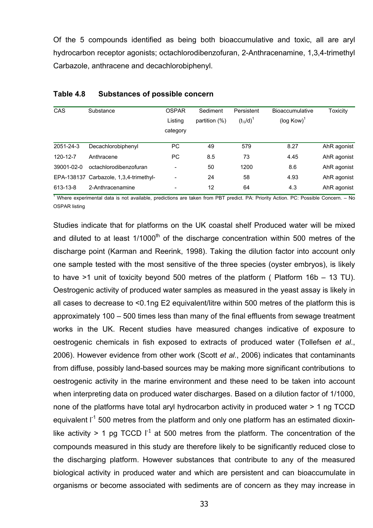Of the 5 compounds identified as being both bioaccumulative and toxic, all are aryl hydrocarbon receptor agonists; octachlorodibenzofuran, 2-Anthracenamine, 1,3,4-trimethyl Carbazole, anthracene and decachlorobiphenyl.

| <b>CAS</b> | Substance                              | <b>OSPAR</b><br>Listing<br>category | Sediment<br>partition $(%)$ | Persistent<br>$(t_{\frac{1}{2}}/d)^{1}$ | <b>Bioaccumulative</b><br>$(log Kow)^T$ | Toxicity    |
|------------|----------------------------------------|-------------------------------------|-----------------------------|-----------------------------------------|-----------------------------------------|-------------|
| 2051-24-3  | Decachlorobiphenyl                     | <b>PC</b>                           | 49                          | 579                                     | 8.27                                    | AhR agonist |
| 120-12-7   | Anthracene                             | <b>PC</b>                           | 8.5                         | 73                                      | 4.45                                    | AhR agonist |
| 39001-02-0 | octachlorodibenzofuran                 | -                                   | 50                          | 1200                                    | 8.6                                     | AhR agonist |
|            | EPA-138137 Carbazole, 1,3,4-trimethyl- | $\overline{\phantom{0}}$            | 24                          | 58                                      | 4.93                                    | AhR agonist |
| 613-13-8   | 2-Anthracenamine                       | $\overline{\phantom{a}}$            | 12                          | 64                                      | 4.3                                     | AhR agonist |

#### **Table 4.8 Substances of possible concern**

<sup>1</sup> Where experimental data is not available, predictions are taken from PBT predict. PA: Priority Action. PC: Possible Concern. - No OSPAR listing

Studies indicate that for platforms on the UK coastal shelf Produced water will be mixed and diluted to at least  $1/1000<sup>th</sup>$  of the discharge concentration within 500 metres of the discharge point (Karman and Reerink, 1998). Taking the dilution factor into account only one sample tested with the most sensitive of the three species (oyster embryos), is likely to have >1 unit of toxicity beyond 500 metres of the platform ( Platform 16b – 13 TU). Oestrogenic activity of produced water samples as measured in the yeast assay is likely in all cases to decrease to <0.1ng E2 equivalent/litre within 500 metres of the platform this is approximately 100 – 500 times less than many of the final effluents from sewage treatment works in the UK. Recent studies have measured changes indicative of exposure to oestrogenic chemicals in fish exposed to extracts of produced water (Tollefsen *et al*., 2006). However evidence from other work (Scott *et al*., 2006) indicates that contaminants from diffuse, possibly land-based sources may be making more significant contributions to oestrogenic activity in the marine environment and these need to be taken into account when interpreting data on produced water discharges. Based on a dilution factor of 1/1000, none of the platforms have total aryl hydrocarbon activity in produced water > 1 ng TCCD equivalent  $I^{-1}$  500 metres from the platform and only one platform has an estimated dioxinlike activity > 1 pg TCCD  $I^{-1}$  at 500 metres from the platform. The concentration of the compounds measured in this study are therefore likely to be significantly reduced close to the discharging platform. However substances that contribute to any of the measured biological activity in produced water and which are persistent and can bioaccumulate in organisms or become associated with sediments are of concern as they may increase in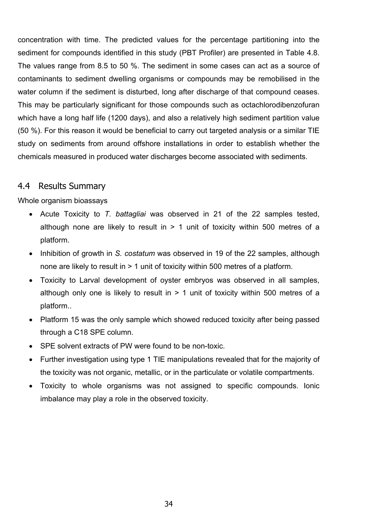concentration with time. The predicted values for the percentage partitioning into the sediment for compounds identified in this study (PBT Profiler) are presented in Table 4.8. The values range from 8.5 to 50 %. The sediment in some cases can act as a source of contaminants to sediment dwelling organisms or compounds may be remobilised in the water column if the sediment is disturbed, long after discharge of that compound ceases. This may be particularly significant for those compounds such as octachlorodibenzofuran which have a long half life (1200 days), and also a relatively high sediment partition value (50 %). For this reason it would be beneficial to carry out targeted analysis or a similar TIE study on sediments from around offshore installations in order to establish whether the chemicals measured in produced water discharges become associated with sediments.

## 4.4 Results Summary

## Whole organism bioassays

- Acute Toxicity to *T. battagliai* was observed in 21 of the 22 samples tested, although none are likely to result in  $> 1$  unit of toxicity within 500 metres of a platform.
- Inhibition of growth in *S. costatum* was observed in 19 of the 22 samples, although none are likely to result in > 1 unit of toxicity within 500 metres of a platform.
- Toxicity to Larval development of oyster embryos was observed in all samples, although only one is likely to result in  $> 1$  unit of toxicity within 500 metres of a platform..
- Platform 15 was the only sample which showed reduced toxicity after being passed through a C18 SPE column.
- SPE solvent extracts of PW were found to be non-toxic.
- Further investigation using type 1 TIE manipulations revealed that for the majority of the toxicity was not organic, metallic, or in the particulate or volatile compartments.
- Toxicity to whole organisms was not assigned to specific compounds. Ionic imbalance may play a role in the observed toxicity.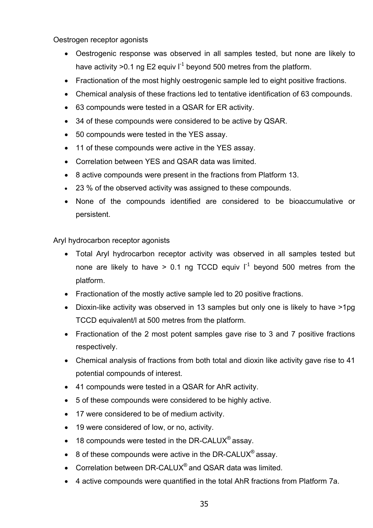Oestrogen receptor agonists

- Oestrogenic response was observed in all samples tested, but none are likely to have activity > 0.1 ng E2 equiv  $I^{-1}$  beyond 500 metres from the platform.
- Fractionation of the most highly oestrogenic sample led to eight positive fractions.
- Chemical analysis of these fractions led to tentative identification of 63 compounds.
- 63 compounds were tested in a QSAR for ER activity.
- 34 of these compounds were considered to be active by QSAR.
- 50 compounds were tested in the YES assay.
- 11 of these compounds were active in the YES assay.
- Correlation between YES and QSAR data was limited.
- 8 active compounds were present in the fractions from Platform 13.
- 23 % of the observed activity was assigned to these compounds.
- None of the compounds identified are considered to be bioaccumulative or persistent.

Aryl hydrocarbon receptor agonists

- Total Aryl hydrocarbon receptor activity was observed in all samples tested but none are likely to have > 0.1 ng TCCD equiv  $I<sup>-1</sup>$  beyond 500 metres from the platform.
- Fractionation of the mostly active sample led to 20 positive fractions.
- Dioxin-like activity was observed in 13 samples but only one is likely to have >1pg TCCD equivalent/l at 500 metres from the platform.
- Fractionation of the 2 most potent samples gave rise to 3 and 7 positive fractions respectively.
- Chemical analysis of fractions from both total and dioxin like activity gave rise to 41 potential compounds of interest.
- 41 compounds were tested in a QSAR for AhR activity.
- 5 of these compounds were considered to be highly active.
- 17 were considered to be of medium activity.
- 19 were considered of low, or no, activity.
- 18 compounds were tested in the DR-CALUX<sup>®</sup> assay.
- 8 of these compounds were active in the DR-CALUX<sup>®</sup> assay.
- Correlation between DR-CALUX<sup>®</sup> and QSAR data was limited.
- 4 active compounds were quantified in the total AhR fractions from Platform 7a.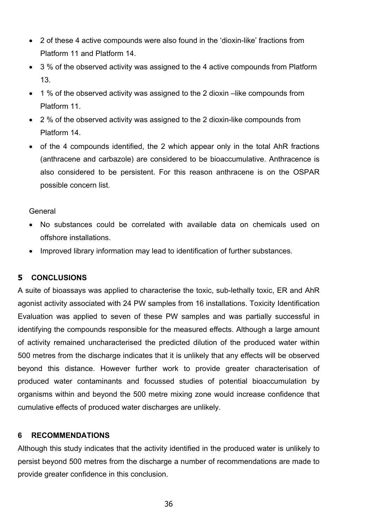- 2 of these 4 active compounds were also found in the 'dioxin-like' fractions from Platform 11 and Platform 14.
- 3 % of the observed activity was assigned to the 4 active compounds from Platform 13.
- 1 % of the observed activity was assigned to the 2 dioxin –like compounds from Platform 11.
- 2 % of the observed activity was assigned to the 2 dioxin-like compounds from Platform 14.
- of the 4 compounds identified, the 2 which appear only in the total AhR fractions (anthracene and carbazole) are considered to be bioaccumulative. Anthracence is also considered to be persistent. For this reason anthracene is on the OSPAR possible concern list.

## General

- No substances could be correlated with available data on chemicals used on offshore installations.
- Improved library information may lead to identification of further substances.

## **5 CONCLUSIONS**

A suite of bioassays was applied to characterise the toxic, sub-lethally toxic, ER and AhR agonist activity associated with 24 PW samples from 16 installations. Toxicity Identification Evaluation was applied to seven of these PW samples and was partially successful in identifying the compounds responsible for the measured effects. Although a large amount of activity remained uncharacterised the predicted dilution of the produced water within 500 metres from the discharge indicates that it is unlikely that any effects will be observed beyond this distance. However further work to provide greater characterisation of produced water contaminants and focussed studies of potential bioaccumulation by organisms within and beyond the 500 metre mixing zone would increase confidence that cumulative effects of produced water discharges are unlikely.

## **6 RECOMMENDATIONS**

Although this study indicates that the activity identified in the produced water is unlikely to persist beyond 500 metres from the discharge a number of recommendations are made to provide greater confidence in this conclusion.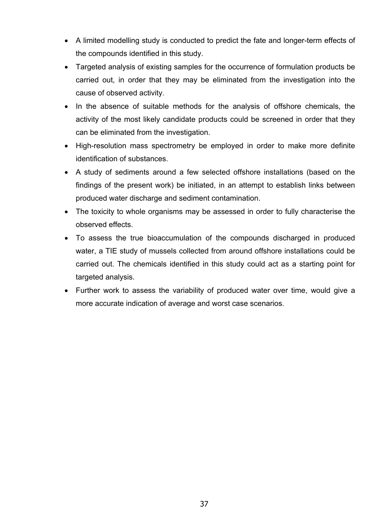- A limited modelling study is conducted to predict the fate and longer-term effects of the compounds identified in this study.
- Targeted analysis of existing samples for the occurrence of formulation products be carried out, in order that they may be eliminated from the investigation into the cause of observed activity.
- In the absence of suitable methods for the analysis of offshore chemicals, the activity of the most likely candidate products could be screened in order that they can be eliminated from the investigation.
- High-resolution mass spectrometry be employed in order to make more definite identification of substances.
- A study of sediments around a few selected offshore installations (based on the findings of the present work) be initiated, in an attempt to establish links between produced water discharge and sediment contamination.
- The toxicity to whole organisms may be assessed in order to fully characterise the observed effects.
- To assess the true bioaccumulation of the compounds discharged in produced water, a TIE study of mussels collected from around offshore installations could be carried out. The chemicals identified in this study could act as a starting point for targeted analysis.
- Further work to assess the variability of produced water over time, would give a more accurate indication of average and worst case scenarios.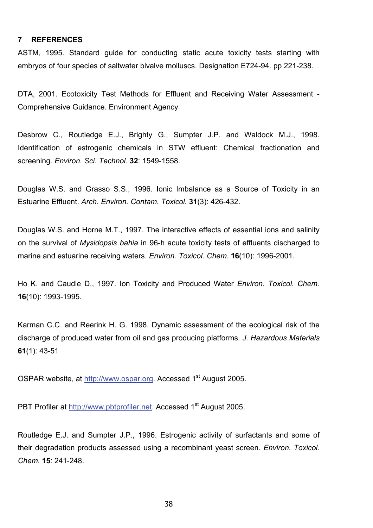#### **7 REFERENCES**

ASTM, 1995. Standard guide for conducting static acute toxicity tests starting with embryos of four species of saltwater bivalve molluscs. Designation E724-94. pp 221-238.

DTA, 2001. Ecotoxicity Test Methods for Effluent and Receiving Water Assessment - Comprehensive Guidance. Environment Agency

Desbrow C., Routledge E.J., Brighty G., Sumpter J.P. and Waldock M.J., 1998. Identification of estrogenic chemicals in STW effluent: Chemical fractionation and screening. *Environ. Sci. Technol.* **32**: 1549-1558.

Douglas W.S. and Grasso S.S., 1996. Ionic Imbalance as a Source of Toxicity in an Estuarine Effluent. *Arch. Environ. Contam. Toxicol.* **31**(3): 426-432.

Douglas W.S. and Horne M.T., 1997. The interactive effects of essential ions and salinity on the survival of *Mysidopsis bahia* in 96-h acute toxicity tests of effluents discharged to marine and estuarine receiving waters. *Environ. Toxicol. Chem.* **16**(10): 1996-2001.

Ho K. and Caudle D., 1997. Ion Toxicity and Produced Water *Environ. Toxicol. Chem.*  **16**(10): 1993-1995.

Karman C.C. and Reerink H. G. 1998. Dynamic assessment of the ecological risk of the discharge of produced water from oil and gas producing platforms. *J. Hazardous Materials* **61**(1): 43-51

OSPAR website, at http://www.ospar.org. Accessed 1<sup>st</sup> August 2005.

PBT Profiler at http://www.pbtprofiler.net. Accessed 1<sup>st</sup> August 2005.

Routledge E.J. and Sumpter J.P., 1996. Estrogenic activity of surfactants and some of their degradation products assessed using a recombinant yeast screen. *Environ. Toxicol. Chem.* **15**: 241-248.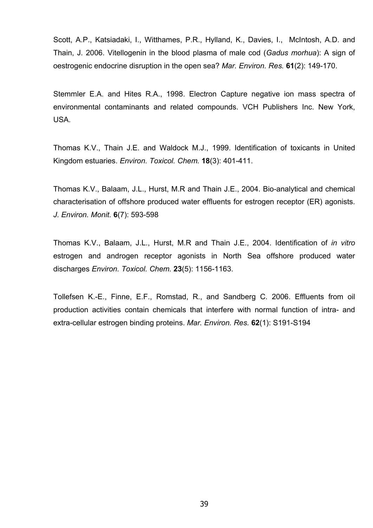Scott, A.P., Katsiadaki, I., Witthames, P.R., Hylland, K., Davies, I., McIntosh, A.D. and Thain, J. 2006. Vitellogenin in the blood plasma of male cod (*Gadus morhua*): A sign of oestrogenic endocrine disruption in the open sea? *Mar. Environ. Res.* **61**(2): 149-170.

Stemmler E.A. and Hites R.A., 1998. Electron Capture negative ion mass spectra of environmental contaminants and related compounds. VCH Publishers Inc. New York, USA.

Thomas K.V., Thain J.E. and Waldock M.J., 1999. Identification of toxicants in United Kingdom estuaries. *Environ. Toxicol. Chem.* **18**(3): 401-411.

Thomas K.V., Balaam, J.L., Hurst, M.R and Thain J.E., 2004. Bio-analytical and chemical characterisation of offshore produced water effluents for estrogen receptor (ER) agonists. *J. Environ. Monit.* **6**(7): 593-598

Thomas K.V., Balaam, J.L., Hurst, M.R and Thain J.E., 2004. Identification of *in vitro* estrogen and androgen receptor agonists in North Sea offshore produced water discharges *Environ. Toxicol. Chem.* **23**(5): 1156-1163.

Tollefsen K.-E., Finne, E.F., Romstad, R., and Sandberg C. 2006. Effluents from oil production activities contain chemicals that interfere with normal function of intra- and extra-cellular estrogen binding proteins. *Mar. Environ. Res.* **62**(1): S191-S194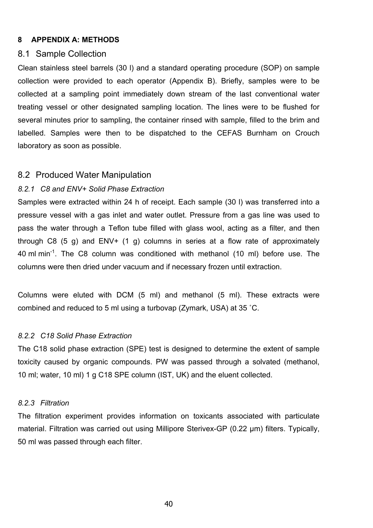#### **8 APPENDIX A: METHODS**

### 8.1 Sample Collection

Clean stainless steel barrels (30 l) and a standard operating procedure (SOP) on sample collection were provided to each operator (Appendix B). Briefly, samples were to be collected at a sampling point immediately down stream of the last conventional water treating vessel or other designated sampling location. The lines were to be flushed for several minutes prior to sampling, the container rinsed with sample, filled to the brim and labelled. Samples were then to be dispatched to the CEFAS Burnham on Crouch laboratory as soon as possible.

#### 8.2 Produced Water Manipulation

## *8.2.1 C8 and ENV+ Solid Phase Extraction*

Samples were extracted within 24 h of receipt. Each sample (30 l) was transferred into a pressure vessel with a gas inlet and water outlet. Pressure from a gas line was used to pass the water through a Teflon tube filled with glass wool, acting as a filter, and then through C8  $(5 g)$  and ENV+  $(1 g)$  columns in series at a flow rate of approximately 40 ml min-1. The C8 column was conditioned with methanol (10 ml) before use. The columns were then dried under vacuum and if necessary frozen until extraction.

Columns were eluted with DCM (5 ml) and methanol (5 ml). These extracts were combined and reduced to 5 ml using a turbovap (Zymark, USA) at 35 ˚C.

#### *8.2.2 C18 Solid Phase Extraction*

The C18 solid phase extraction (SPE) test is designed to determine the extent of sample toxicity caused by organic compounds. PW was passed through a solvated (methanol, 10 ml; water, 10 ml) 1 g C18 SPE column (IST, UK) and the eluent collected.

#### *8.2.3 Filtration*

The filtration experiment provides information on toxicants associated with particulate material. Filtration was carried out using Millipore Sterivex-GP (0.22 μm) filters. Typically, 50 ml was passed through each filter.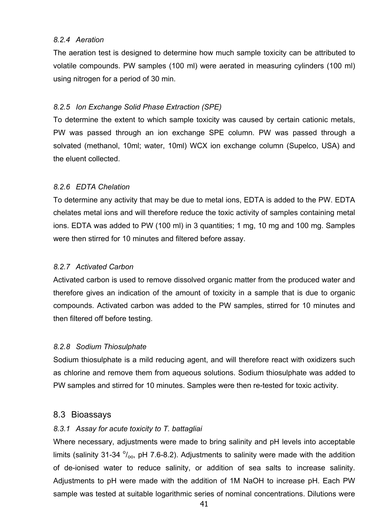## *8.2.4 Aeration*

The aeration test is designed to determine how much sample toxicity can be attributed to volatile compounds. PW samples (100 ml) were aerated in measuring cylinders (100 ml) using nitrogen for a period of 30 min.

## *8.2.5 Ion Exchange Solid Phase Extraction (SPE)*

To determine the extent to which sample toxicity was caused by certain cationic metals, PW was passed through an ion exchange SPE column. PW was passed through a solvated (methanol, 10ml; water, 10ml) WCX ion exchange column (Supelco, USA) and the eluent collected.

## *8.2.6 EDTA Chelation*

To determine any activity that may be due to metal ions, EDTA is added to the PW. EDTA chelates metal ions and will therefore reduce the toxic activity of samples containing metal ions. EDTA was added to PW (100 ml) in 3 quantities; 1 mg, 10 mg and 100 mg. Samples were then stirred for 10 minutes and filtered before assay.

## *8.2.7 Activated Carbon*

Activated carbon is used to remove dissolved organic matter from the produced water and therefore gives an indication of the amount of toxicity in a sample that is due to organic compounds. Activated carbon was added to the PW samples, stirred for 10 minutes and then filtered off before testing.

## *8.2.8 Sodium Thiosulphate*

Sodium thiosulphate is a mild reducing agent, and will therefore react with oxidizers such as chlorine and remove them from aqueous solutions. Sodium thiosulphate was added to PW samples and stirred for 10 minutes. Samples were then re-tested for toxic activity.

## 8.3 Bioassays

## *8.3.1 Assay for acute toxicity to T. battagliai*

Where necessary, adjustments were made to bring salinity and pH levels into acceptable limits (salinity 31-34  $\%$ <sub>00</sub>, pH 7.6-8.2). Adjustments to salinity were made with the addition of de-ionised water to reduce salinity, or addition of sea salts to increase salinity. Adjustments to pH were made with the addition of 1M NaOH to increase pH. Each PW sample was tested at suitable logarithmic series of nominal concentrations. Dilutions were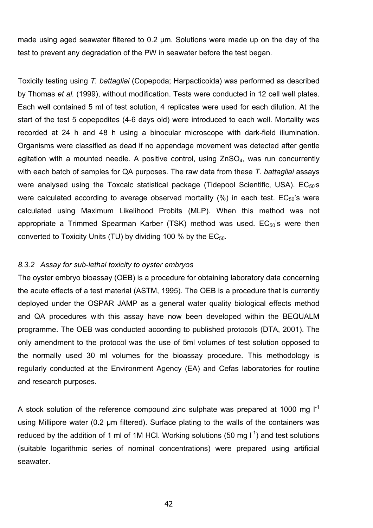made using aged seawater filtered to 0.2 µm. Solutions were made up on the day of the test to prevent any degradation of the PW in seawater before the test began.

Toxicity testing using *T. battagliai* (Copepoda; Harpacticoida) was performed as described by Thomas *et al.* (1999), without modification. Tests were conducted in 12 cell well plates. Each well contained 5 ml of test solution, 4 replicates were used for each dilution. At the start of the test 5 copepodites (4-6 days old) were introduced to each well. Mortality was recorded at 24 h and 48 h using a binocular microscope with dark-field illumination. Organisms were classified as dead if no appendage movement was detected after gentle agitation with a mounted needle. A positive control, using ZnSO<sub>4</sub>, was run concurrently with each batch of samples for QA purposes. The raw data from these *T. battagliai* assays were analysed using the Toxcalc statistical package (Tidepool Scientific, USA).  $EC_{50}$ 's were calculated according to average observed mortality  $(\%)$  in each test.  $EC_{50}$ 's were calculated using Maximum Likelihood Probits (MLP). When this method was not appropriate a Trimmed Spearman Karber (TSK) method was used.  $EC_{50}$ 's were then converted to Toxicity Units (TU) by dividing 100 % by the  $EC_{50}$ .

## *8.3.2 Assay for sub-lethal toxicity to oyster embryos*

The oyster embryo bioassay (OEB) is a procedure for obtaining laboratory data concerning the acute effects of a test material (ASTM, 1995). The OEB is a procedure that is currently deployed under the OSPAR JAMP as a general water quality biological effects method and QA procedures with this assay have now been developed within the BEQUALM programme. The OEB was conducted according to published protocols (DTA, 2001). The only amendment to the protocol was the use of 5ml volumes of test solution opposed to the normally used 30 ml volumes for the bioassay procedure. This methodology is regularly conducted at the Environment Agency (EA) and Cefas laboratories for routine and research purposes.

A stock solution of the reference compound zinc sulphate was prepared at 1000 mg  $I<sup>1</sup>$ using Millipore water (0.2 µm filtered). Surface plating to the walls of the containers was reduced by the addition of 1 ml of 1M HCl. Working solutions (50 mg  $I^{-1}$ ) and test solutions (suitable logarithmic series of nominal concentrations) were prepared using artificial seawater.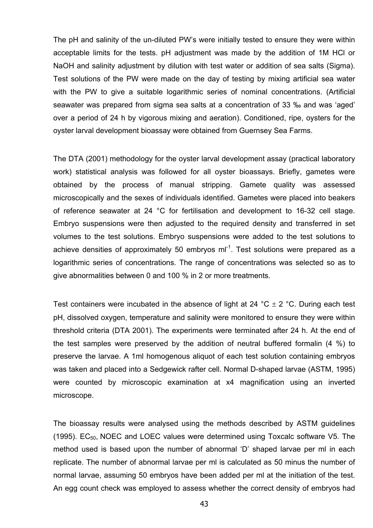The pH and salinity of the un-diluted PW's were initially tested to ensure they were within acceptable limits for the tests. pH adjustment was made by the addition of 1M HCl or NaOH and salinity adjustment by dilution with test water or addition of sea salts (Sigma). Test solutions of the PW were made on the day of testing by mixing artificial sea water with the PW to give a suitable logarithmic series of nominal concentrations. (Artificial seawater was prepared from sigma sea salts at a concentration of 33 ‰ and was 'aged' over a period of 24 h by vigorous mixing and aeration). Conditioned, ripe, oysters for the oyster larval development bioassay were obtained from Guernsey Sea Farms.

The DTA (2001) methodology for the oyster larval development assay (practical laboratory work) statistical analysis was followed for all oyster bioassays. Briefly, gametes were obtained by the process of manual stripping. Gamete quality was assessed microscopically and the sexes of individuals identified. Gametes were placed into beakers of reference seawater at 24 °C for fertilisation and development to 16-32 cell stage. Embryo suspensions were then adjusted to the required density and transferred in set volumes to the test solutions. Embryo suspensions were added to the test solutions to achieve densities of approximately 50 embryos  $ml^{-1}$ . Test solutions were prepared as a logarithmic series of concentrations. The range of concentrations was selected so as to give abnormalities between 0 and 100 % in 2 or more treatments.

Test containers were incubated in the absence of light at 24 °C  $\pm$  2 °C. During each test pH, dissolved oxygen, temperature and salinity were monitored to ensure they were within threshold criteria (DTA 2001). The experiments were terminated after 24 h. At the end of the test samples were preserved by the addition of neutral buffered formalin (4 %) to preserve the larvae. A 1ml homogenous aliquot of each test solution containing embryos was taken and placed into a Sedgewick rafter cell. Normal D-shaped larvae (ASTM, 1995) were counted by microscopic examination at x4 magnification using an inverted microscope.

The bioassay results were analysed using the methods described by ASTM guidelines (1995).  $EC_{50}$ , NOEC and LOEC values were determined using Toxcalc software V5. The method used is based upon the number of abnormal 'D' shaped larvae per ml in each replicate. The number of abnormal larvae per ml is calculated as 50 minus the number of normal larvae, assuming 50 embryos have been added per ml at the initiation of the test. An egg count check was employed to assess whether the correct density of embryos had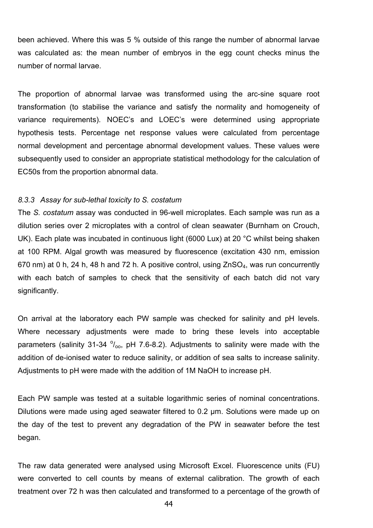been achieved. Where this was 5 % outside of this range the number of abnormal larvae was calculated as: the mean number of embryos in the egg count checks minus the number of normal larvae.

The proportion of abnormal larvae was transformed using the arc-sine square root transformation (to stabilise the variance and satisfy the normality and homogeneity of variance requirements). NOEC's and LOEC's were determined using appropriate hypothesis tests. Percentage net response values were calculated from percentage normal development and percentage abnormal development values. These values were subsequently used to consider an appropriate statistical methodology for the calculation of EC50s from the proportion abnormal data.

#### *8.3.3 Assay for sub-lethal toxicity to S. costatum*

The *S. costatum* assay was conducted in 96-well microplates. Each sample was run as a dilution series over 2 microplates with a control of clean seawater (Burnham on Crouch, UK). Each plate was incubated in continuous light (6000 Lux) at 20 °C whilst being shaken at 100 RPM. Algal growth was measured by fluorescence (excitation 430 nm, emission 670 nm) at 0 h, 24 h, 48 h and 72 h. A positive control, using ZnSO<sub>4</sub>, was run concurrently with each batch of samples to check that the sensitivity of each batch did not vary significantly.

On arrival at the laboratory each PW sample was checked for salinity and pH levels. Where necessary adjustments were made to bring these levels into acceptable parameters (salinity 31-34  $\frac{0}{000}$ , pH 7.6-8.2). Adjustments to salinity were made with the addition of de-ionised water to reduce salinity, or addition of sea salts to increase salinity. Adjustments to pH were made with the addition of 1M NaOH to increase pH.

Each PW sample was tested at a suitable logarithmic series of nominal concentrations. Dilutions were made using aged seawater filtered to 0.2 µm. Solutions were made up on the day of the test to prevent any degradation of the PW in seawater before the test began.

The raw data generated were analysed using Microsoft Excel. Fluorescence units (FU) were converted to cell counts by means of external calibration. The growth of each treatment over 72 h was then calculated and transformed to a percentage of the growth of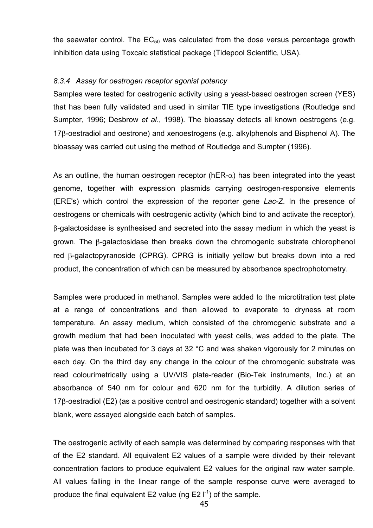the seawater control. The  $EC_{50}$  was calculated from the dose versus percentage growth inhibition data using Toxcalc statistical package (Tidepool Scientific, USA).

## *8.3.4 Assay for oestrogen receptor agonist potency*

Samples were tested for oestrogenic activity using a yeast-based oestrogen screen (YES) that has been fully validated and used in similar TIE type investigations (Routledge and Sumpter, 1996; Desbrow *et al*., 1998). The bioassay detects all known oestrogens (e.g. 17β-oestradiol and oestrone) and xenoestrogens (e.g. alkylphenols and Bisphenol A). The bioassay was carried out using the method of Routledge and Sumpter (1996).

As an outline, the human oestrogen receptor (hER- $\alpha$ ) has been integrated into the yeast genome, together with expression plasmids carrying oestrogen-responsive elements (ERE's) which control the expression of the reporter gene *Lac-Z*. In the presence of oestrogens or chemicals with oestrogenic activity (which bind to and activate the receptor), β-galactosidase is synthesised and secreted into the assay medium in which the yeast is grown. The β-galactosidase then breaks down the chromogenic substrate chlorophenol red β-galactopyranoside (CPRG). CPRG is initially yellow but breaks down into a red product, the concentration of which can be measured by absorbance spectrophotometry.

Samples were produced in methanol. Samples were added to the microtitration test plate at a range of concentrations and then allowed to evaporate to dryness at room temperature. An assay medium, which consisted of the chromogenic substrate and a growth medium that had been inoculated with yeast cells, was added to the plate. The plate was then incubated for 3 days at 32 °C and was shaken vigorously for 2 minutes on each day. On the third day any change in the colour of the chromogenic substrate was read colourimetrically using a UV/VIS plate-reader (Bio-Tek instruments, Inc.) at an absorbance of 540 nm for colour and 620 nm for the turbidity. A dilution series of 17β-oestradiol (E2) (as a positive control and oestrogenic standard) together with a solvent blank, were assayed alongside each batch of samples.

The oestrogenic activity of each sample was determined by comparing responses with that of the E2 standard. All equivalent E2 values of a sample were divided by their relevant concentration factors to produce equivalent E2 values for the original raw water sample. All values falling in the linear range of the sample response curve were averaged to produce the final equivalent E2 value (ng E2  $\Gamma$ <sup>1</sup>) of the sample.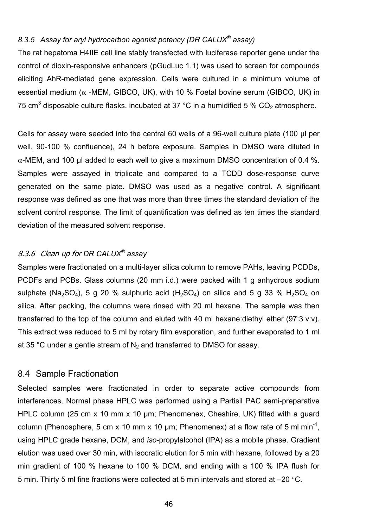## *8.3.5 Assay for aryl hydrocarbon agonist potency (DR CALUX® assay)*

The rat hepatoma H4IIE cell line stably transfected with luciferase reporter gene under the control of dioxin-responsive enhancers (pGudLuc 1.1) was used to screen for compounds eliciting AhR-mediated gene expression. Cells were cultured in a minimum volume of essential medium ( $\alpha$  -MEM, GIBCO, UK), with 10 % Foetal bovine serum (GIBCO, UK) in 75 cm<sup>3</sup> disposable culture flasks, incubated at 37 °C in a humidified 5 %  $CO<sub>2</sub>$  atmosphere.

Cells for assay were seeded into the central 60 wells of a 96-well culture plate (100 μl per well, 90-100 % confluence), 24 h before exposure. Samples in DMSO were diluted in  $\alpha$ -MEM, and 100 µl added to each well to give a maximum DMSO concentration of 0.4 %. Samples were assayed in triplicate and compared to a TCDD dose-response curve generated on the same plate. DMSO was used as a negative control. A significant response was defined as one that was more than three times the standard deviation of the solvent control response. The limit of quantification was defined as ten times the standard deviation of the measured solvent response.

## 8.3.6 Clean up for *DR CALUX® assay*

Samples were fractionated on a multi-layer silica column to remove PAHs, leaving PCDDs, PCDFs and PCBs. Glass columns (20 mm i.d.) were packed with 1 g anhydrous sodium sulphate (Na<sub>2</sub>SO<sub>4</sub>), 5 g 20 % sulphuric acid (H<sub>2</sub>SO<sub>4</sub>) on silica and 5 g 33 % H<sub>2</sub>SO<sub>4</sub> on silica. After packing, the columns were rinsed with 20 ml hexane. The sample was then transferred to the top of the column and eluted with 40 ml hexane:diethyl ether (97:3 v:v). This extract was reduced to 5 ml by rotary film evaporation, and further evaporated to 1 ml at 35 °C under a gentle stream of  $N_2$  and transferred to DMSO for assay.

## 8.4 Sample Fractionation

Selected samples were fractionated in order to separate active compounds from interferences. Normal phase HPLC was performed using a Partisil PAC semi-preparative HPLC column (25 cm x 10 mm x 10 µm; Phenomenex, Cheshire, UK) fitted with a guard column (Phenosphere, 5 cm x 10 mm x 10 µm; Phenomenex) at a flow rate of 5 ml min<sup>-1</sup>, using HPLC grade hexane, DCM, and *iso*-propylalcohol (IPA) as a mobile phase. Gradient elution was used over 30 min, with isocratic elution for 5 min with hexane, followed by a 20 min gradient of 100 % hexane to 100 % DCM, and ending with a 100 % IPA flush for 5 min. Thirty 5 ml fine fractions were collected at 5 min intervals and stored at –20 °C.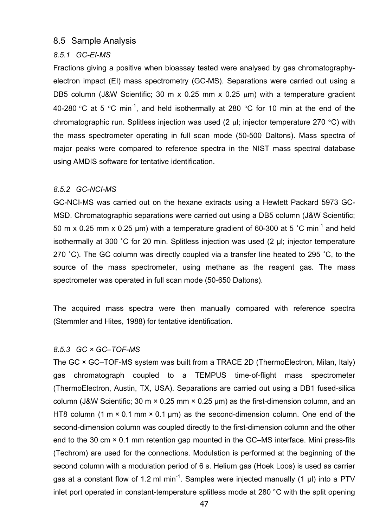## 8.5 Sample Analysis

## *8.5.1 GC-EI-MS*

Fractions giving a positive when bioassay tested were analysed by gas chromatographyelectron impact (EI) mass spectrometry (GC-MS). Separations were carried out using a DB5 column (J&W Scientific; 30 m x 0.25 mm x 0.25  $\mu$ m) with a temperature gradient 40-280 °C at 5 °C min<sup>-1</sup>, and held isothermally at 280 °C for 10 min at the end of the chromatographic run. Splitless injection was used  $(2 \mu)$ ; injector temperature 270 °C) with the mass spectrometer operating in full scan mode (50-500 Daltons). Mass spectra of major peaks were compared to reference spectra in the NIST mass spectral database using AMDIS software for tentative identification.

## *8.5.2 GC-NCI-MS*

GC-NCI-MS was carried out on the hexane extracts using a Hewlett Packard 5973 GC-MSD. Chromatographic separations were carried out using a DB5 column (J&W Scientific; 50 m x 0.25 mm x 0.25 µm) with a temperature gradient of 60-300 at 5 °C min<sup>-1</sup> and held isothermally at 300 ˚C for 20 min. Splitless injection was used (2 µl; injector temperature 270 ˚C). The GC column was directly coupled via a transfer line heated to 295 ˚C, to the source of the mass spectrometer, using methane as the reagent gas. The mass spectrometer was operated in full scan mode (50-650 Daltons).

The acquired mass spectra were then manually compared with reference spectra (Stemmler and Hites, 1988) for tentative identification.

## *8.5.3 GC × GC–TOF-MS*

The GC × GC–TOF-MS system was built from a TRACE 2D (ThermoElectron, Milan, Italy) gas chromatograph coupled to a TEMPUS time-of-flight mass spectrometer (ThermoElectron, Austin, TX, USA). Separations are carried out using a DB1 fused-silica column (J&W Scientific; 30 m  $\times$  0.25 mm  $\times$  0.25 µm) as the first-dimension column, and an HT8 column (1 m  $\times$  0.1 mm  $\times$  0.1 µm) as the second-dimension column. One end of the second-dimension column was coupled directly to the first-dimension column and the other end to the 30 cm × 0.1 mm retention gap mounted in the GC–MS interface. Mini press-fits (Techrom) are used for the connections. Modulation is performed at the beginning of the second column with a modulation period of 6 s. Helium gas (Hoek Loos) is used as carrier gas at a constant flow of 1.2 ml min<sup>-1</sup>. Samples were injected manually (1  $\mu$ I) into a PTV inlet port operated in constant-temperature splitless mode at 280 °C with the split opening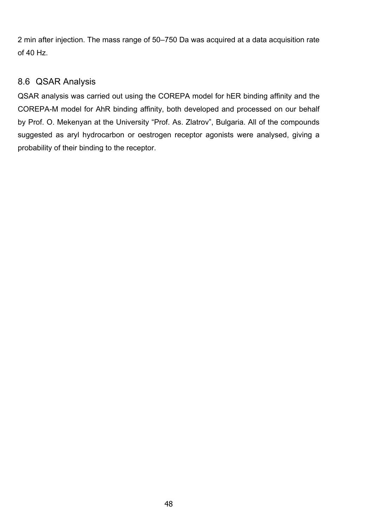2 min after injection. The mass range of 50–750 Da was acquired at a data acquisition rate of 40 Hz.

## 8.6 QSAR Analysis

QSAR analysis was carried out using the COREPA model for hER binding affinity and the COREPA-M model for AhR binding affinity, both developed and processed on our behalf by Prof. O. Mekenyan at the University "Prof. As. Zlatrov", Bulgaria. All of the compounds suggested as aryl hydrocarbon or oestrogen receptor agonists were analysed, giving a probability of their binding to the receptor.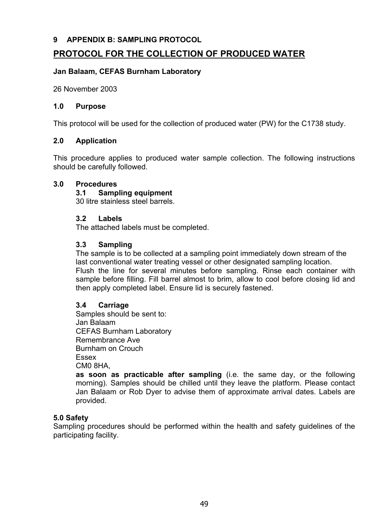## **9 APPENDIX B: SAMPLING PROTOCOL**

## **PROTOCOL FOR THE COLLECTION OF PRODUCED WATER**

## **Jan Balaam, CEFAS Burnham Laboratory**

26 November 2003

## **1.0 Purpose**

This protocol will be used for the collection of produced water (PW) for the C1738 study.

## **2.0 Application**

This procedure applies to produced water sample collection. The following instructions should be carefully followed.

## **3.0 Procedures**

## **3.1 Sampling equipment**

30 litre stainless steel barrels.

## **3.2 Labels**

The attached labels must be completed.

## **3.3 Sampling**

The sample is to be collected at a sampling point immediately down stream of the last conventional water treating vessel or other designated sampling location. Flush the line for several minutes before sampling. Rinse each container with sample before filling. Fill barrel almost to brim, allow to cool before closing lid and then apply completed label. Ensure lid is securely fastened.

## **3.4 Carriage**

Samples should be sent to: Jan Balaam CEFAS Burnham Laboratory Remembrance Ave Burnham on Crouch Essex CM0 8HA,

**as soon as practicable after sampling** (i.e. the same day, or the following morning). Samples should be chilled until they leave the platform. Please contact Jan Balaam or Rob Dyer to advise them of approximate arrival dates. Labels are provided.

## **5.0 Safety**

Sampling procedures should be performed within the health and safety guidelines of the participating facility.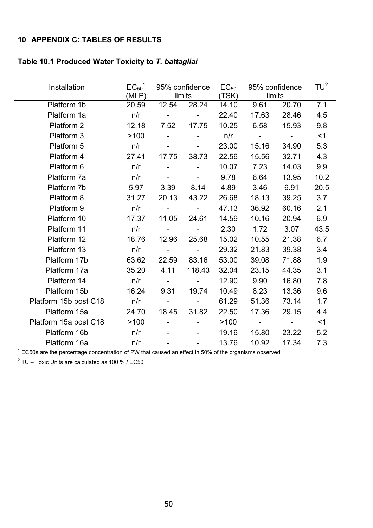## **10 APPENDIX C: TABLES OF RESULTS**

## **Table 10.1 Produced Water Toxicity to** *T. battagliai*

| Installation                                                                                        | $EC_{50}$ <sup>1</sup><br>(MLP) |                          | 95% confidence<br>limits | $EC_{50}$<br>(TSK) |                     | 95% confidence<br>limits | $TU^2$ |
|-----------------------------------------------------------------------------------------------------|---------------------------------|--------------------------|--------------------------|--------------------|---------------------|--------------------------|--------|
| Platform 1b                                                                                         | 20.59                           | 12.54                    | 28.24                    | 14.10              | 9.61                | 20.70                    | 7.1    |
| Platform 1a                                                                                         | n/r                             | $\blacksquare$           |                          | 22.40              | 17.63               | 28.46                    | 4.5    |
| Platform 2                                                                                          | 12.18                           | 7.52                     | 17.75                    | 10.25              | 6.58                | 15.93                    | 9.8    |
| Platform 3                                                                                          | >100                            |                          |                          | n/r                | $\omega_{\rm{max}}$ | $\mathbf{r}$             | <1     |
| Platform 5                                                                                          | n/r                             |                          |                          | 23.00              | 15.16               | 34.90                    | 5.3    |
| Platform 4                                                                                          | 27.41                           | 17.75                    | 38.73                    | 22.56              | 15.56               | 32.71                    | 4.3    |
| Platform 6                                                                                          | n/r                             |                          |                          | 10.07              | 7.23                | 14.03                    | 9.9    |
| Platform 7a                                                                                         | n/r                             |                          |                          | 9.78               | 6.64                | 13.95                    | 10.2   |
| Platform 7b                                                                                         | 5.97                            | 3.39                     | 8.14                     | 4.89               | 3.46                | 6.91                     | 20.5   |
| Platform 8                                                                                          | 31.27                           | 20.13                    | 43.22                    | 26.68              | 18.13               | 39.25                    | 3.7    |
| Platform 9                                                                                          | n/r                             |                          |                          | 47.13              | 36.92               | 60.16                    | 2.1    |
| Platform 10                                                                                         | 17.37                           | 11.05                    | 24.61                    | 14.59              | 10.16               | 20.94                    | 6.9    |
| Platform 11                                                                                         | n/r                             | $\overline{\phantom{a}}$ |                          | 2.30               | 1.72                | 3.07                     | 43.5   |
| Platform 12                                                                                         | 18.76                           | 12.96                    | 25.68                    | 15.02              | 10.55               | 21.38                    | 6.7    |
| Platform 13                                                                                         | n/r                             | $\sim$ 10 $\pm$          | $\overline{\phantom{a}}$ | 29.32              | 21.83               | 39.38                    | 3.4    |
| Platform 17b                                                                                        | 63.62                           | 22.59                    | 83.16                    | 53.00              | 39.08               | 71.88                    | 1.9    |
| Platform 17a                                                                                        | 35.20                           | 4.11                     | 118.43                   | 32.04              | 23.15               | 44.35                    | 3.1    |
| Platform 14                                                                                         | n/r                             | $\blacksquare$           |                          | 12.90              | 9.90                | 16.80                    | 7.8    |
| Platform 15b                                                                                        | 16.24                           | 9.31                     | 19.74                    | 10.49              | 8.23                | 13.36                    | 9.6    |
| Platform 15b post C18                                                                               | n/r                             | $\overline{\phantom{a}}$ |                          | 61.29              | 51.36               | 73.14                    | 1.7    |
| Platform 15a                                                                                        | 24.70                           | 18.45                    | 31.82                    | 22.50              | 17.36               | 29.15                    | 4.4    |
| Platform 15a post C18                                                                               | >100                            |                          |                          | >100               | $\sim 10^4$         | $\blacksquare$           | $<$ 1  |
| Platform 16b                                                                                        | n/r                             |                          |                          | 19.16              | 15.80               | 23.22                    | 5.2    |
| Platform 16a                                                                                        | n/r                             |                          |                          | 13.76              | 10.92               | 17.34                    | 7.3    |
| EC50s are the percentage concentration of PW that caused an effect in 50% of the organisms observed |                                 |                          |                          |                    |                     |                          |        |

 $2$  TU – Toxic Units are calculated as 100 % / EC50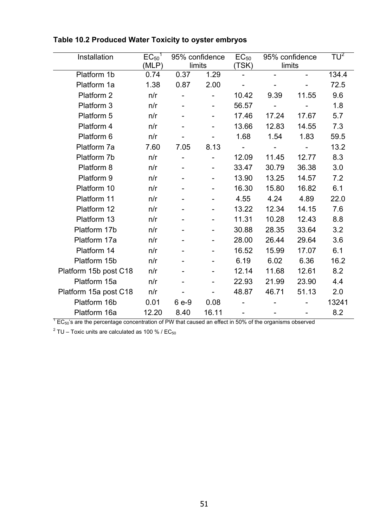| Installation                                                                                                           | $EC_{50}$ <sup>1</sup> |       | 95% confidence | $EC_{50}$      |        | 95% confidence | TU <sup>2</sup> |
|------------------------------------------------------------------------------------------------------------------------|------------------------|-------|----------------|----------------|--------|----------------|-----------------|
|                                                                                                                        | (MLP)                  |       | limits         | (TSK)          | limits |                |                 |
| Platform 1b                                                                                                            | 0.74                   | 0.37  | 1.29           | $\blacksquare$ |        |                | 134.4           |
| Platform 1a                                                                                                            | 1.38                   | 0.87  | 2.00           |                |        |                | 72.5            |
| Platform 2                                                                                                             | n/r                    |       |                | 10.42          | 9.39   | 11.55          | 9.6             |
| Platform 3                                                                                                             | n/r                    |       |                | 56.57          |        |                | 1.8             |
| Platform 5                                                                                                             | n/r                    |       |                | 17.46          | 17.24  | 17.67          | 5.7             |
| Platform 4                                                                                                             | n/r                    |       |                | 13.66          | 12.83  | 14.55          | 7.3             |
| Platform 6                                                                                                             | n/r                    |       |                | 1.68           | 1.54   | 1.83           | 59.5            |
| Platform 7a                                                                                                            | 7.60                   | 7.05  | 8.13           | $\blacksquare$ |        |                | 13.2            |
| Platform 7b                                                                                                            | n/r                    |       |                | 12.09          | 11.45  | 12.77          | 8.3             |
| Platform 8                                                                                                             | n/r                    |       |                | 33.47          | 30.79  | 36.38          | 3.0             |
| Platform 9                                                                                                             | n/r                    |       |                | 13.90          | 13.25  | 14.57          | 7.2             |
| Platform 10                                                                                                            | n/r                    |       |                | 16.30          | 15.80  | 16.82          | 6.1             |
| Platform 11                                                                                                            | n/r                    |       |                | 4.55           | 4.24   | 4.89           | 22.0            |
| Platform 12                                                                                                            | n/r                    |       |                | 13.22          | 12.34  | 14.15          | 7.6             |
| Platform 13                                                                                                            | n/r                    |       |                | 11.31          | 10.28  | 12.43          | 8.8             |
| Platform 17b                                                                                                           | n/r                    |       |                | 30.88          | 28.35  | 33.64          | 3.2             |
| Platform 17a                                                                                                           | n/r                    |       |                | 28.00          | 26.44  | 29.64          | 3.6             |
| Platform 14                                                                                                            | n/r                    |       |                | 16.52          | 15.99  | 17.07          | 6.1             |
| Platform 15b                                                                                                           | n/r                    |       |                | 6.19           | 6.02   | 6.36           | 16.2            |
| Platform 15b post C18                                                                                                  | n/r                    |       |                | 12.14          | 11.68  | 12.61          | 8.2             |
| Platform 15a                                                                                                           | n/r                    |       |                | 22.93          | 21.99  | 23.90          | 4.4             |
| Platform 15a post C18                                                                                                  | n/r                    |       |                | 48.87          | 46.71  | 51.13          | 2.0             |
| Platform 16b                                                                                                           | 0.01                   | 6 e-9 | 0.08           |                |        |                | 13241           |
| Platform 16a                                                                                                           | 12.20                  | 8.40  | 16.11          |                |        |                | 8.2             |
| $^7$ EC <sub>50</sub> 's are the percentage concentration of PW that caused an effect in 50% of the organisms observed |                        |       |                |                |        |                |                 |

## **Table 10.2 Produced Water Toxicity to oyster embryos**

 $^2$  TU – Toxic units are calculated as 100 % / EC<sub>50</sub>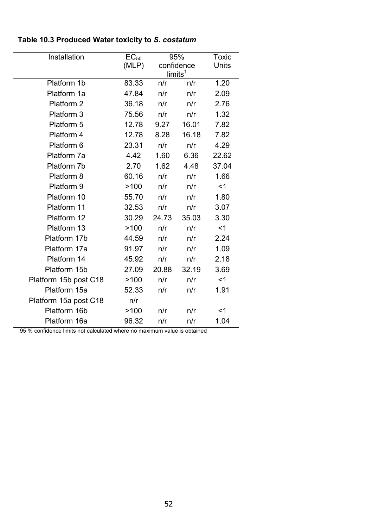| Installation                                                             | $EC_{50}$ |       | 95%                 | Toxic |
|--------------------------------------------------------------------------|-----------|-------|---------------------|-------|
|                                                                          | (MLP)     |       | confidence          | Units |
|                                                                          |           |       | limits <sup>1</sup> |       |
| Platform 1b                                                              | 83.33     | n/r   | n/r                 | 1.20  |
| Platform 1a                                                              | 47.84     | n/r   | n/r                 | 2.09  |
| Platform 2                                                               | 36.18     | n/r   | n/r                 | 2.76  |
| Platform 3                                                               | 75.56     | n/r   | n/r                 | 1.32  |
| Platform 5                                                               | 12.78     | 9.27  | 16.01               | 7.82  |
| Platform 4                                                               | 12.78     | 8.28  | 16.18               | 7.82  |
| Platform 6                                                               | 23.31     | n/r   | n/r                 | 4.29  |
| Platform 7a                                                              | 4.42      | 1.60  | 6.36                | 22.62 |
| Platform 7b                                                              | 2.70      | 1.62  | 4.48                | 37.04 |
| Platform 8                                                               | 60.16     | n/r   | n/r                 | 1.66  |
| Platform 9                                                               | >100      | n/r   | n/r                 | $<$ 1 |
| Platform 10                                                              | 55.70     | n/r   | n/r                 | 1.80  |
| Platform 11                                                              | 32.53     | n/r   | n/r                 | 3.07  |
| Platform 12                                                              | 30.29     | 24.73 | 35.03               | 3.30  |
| Platform 13                                                              | >100      | n/r   | n/r                 | $<$ 1 |
| Platform 17b                                                             | 44.59     | n/r   | n/r                 | 2.24  |
| Platform 17a                                                             | 91.97     | n/r   | n/r                 | 1.09  |
| Platform 14                                                              | 45.92     | n/r   | n/r                 | 2.18  |
| Platform 15b                                                             | 27.09     | 20.88 | 32.19               | 3.69  |
| Platform 15b post C18                                                    | >100      | n/r   | n/r                 | $<$ 1 |
| Platform 15a                                                             | 52.33     | n/r   | n/r                 | 1.91  |
| Platform 15a post C18                                                    | n/r       |       |                     |       |
| Platform 16b                                                             | >100      | n/r   | n/r                 | $<$ 1 |
| Platform 16a                                                             | 96.32     | n/r   | n/r                 | 1.04  |
| 95 % confidence limits not calculated where no maximum value is obtained |           |       |                     |       |

## **Table 10.3 Produced Water toxicity to** *S. costatum*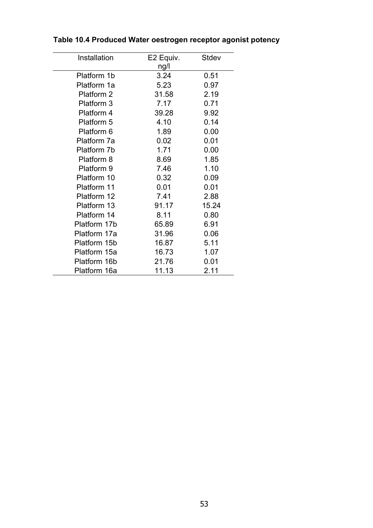| Installation | E2 Equiv. | Stdev |
|--------------|-----------|-------|
|              | ng/l      |       |
| Platform 1b  | 3.24      | 0.51  |
| Platform 1a  | 5.23      | 0.97  |
| Platform 2   | 31.58     | 2.19  |
| Platform 3   | 7.17      | 0.71  |
| Platform 4   | 39.28     | 9.92  |
| Platform 5   | 4.10      | 0.14  |
| Platform 6   | 1.89      | 0.00  |
| Platform 7a  | 0.02      | 0.01  |
| Platform 7b  | 1.71      | 0.00  |
| Platform 8   | 8.69      | 1.85  |
| Platform 9   | 7.46      | 1.10  |
| Platform 10  | 0.32      | 0.09  |
| Platform 11  | 0.01      | 0.01  |
| Platform 12  | 7.41      | 2.88  |
| Platform 13  | 91.17     | 15.24 |
| Platform 14  | 8.11      | 0.80  |
| Platform 17b | 65.89     | 6.91  |
| Platform 17a | 31.96     | 0.06  |
| Platform 15b | 16.87     | 5.11  |
| Platform 15a | 16.73     | 1.07  |
| Platform 16b | 21.76     | 0.01  |
| Platform 16a | 11.13     | 2.11  |

## **Table 10.4 Produced Water oestrogen receptor agonist potency**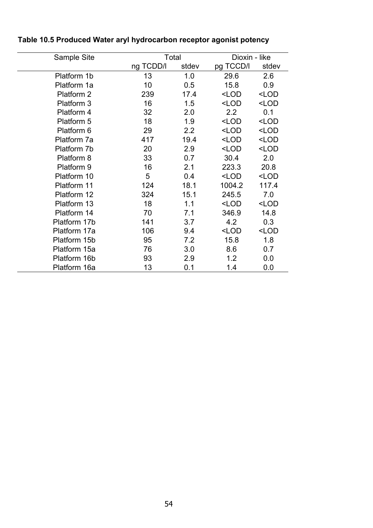| Sample Site  |           | Total | Dioxin - like                                    |                     |
|--------------|-----------|-------|--------------------------------------------------|---------------------|
|              | ng TCDD/I | stdev | pg TCCD/I                                        | stdev               |
| Platform 1b  | 13        | 1.0   | 29.6                                             | 2.6                 |
| Platform 1a  | 10        | 0.5   | 15.8                                             | 0.9                 |
| Platform 2   | 239       | 17.4  | $<$ LOD                                          | $<$ LOD             |
| Platform 3   | 16        | 1.5   | <lod< td=""><td><lod< td=""></lod<></td></lod<>  | <lod< td=""></lod<> |
| Platform 4   | 32        | 2.0   | $2.2\phantom{0}$                                 | 0.1                 |
| Platform 5   | 18        | 1.9   | <lod< td=""><td><lod< td=""></lod<></td></lod<>  | <lod< td=""></lod<> |
| Platform 6   | 29        | 2.2   | $<$ LOD                                          | <lod< td=""></lod<> |
| Platform 7a  | 417       | 19.4  | $<$ LOD                                          | $<$ LOD             |
| Platform 7b  | 20        | 2.9   | <lod< td=""><td><lod< td=""></lod<></td></lod<>  | <lod< td=""></lod<> |
| Platform 8   | 33        | 0.7   | 30.4                                             | 2.0                 |
| Platform 9   | 16        | 2.1   | 223.3                                            | 20.8                |
| Platform 10  | 5         | 0.4   | <lod< td=""><td><math>&lt;</math>LOD</td></lod<> | $<$ LOD             |
| Platform 11  | 124       | 18.1  | 1004.2                                           | 117.4               |
| Platform 12  | 324       | 15.1  | 245.5                                            | 7.0                 |
| Platform 13  | 18        | 1.1   | $<$ LOD                                          | <lod< td=""></lod<> |
| Platform 14  | 70        | 7.1   | 346.9                                            | 14.8                |
| Platform 17b | 141       | 3.7   | 4.2                                              | 0.3                 |
| Platform 17a | 106       | 9.4   | <lod< td=""><td><lod< td=""></lod<></td></lod<>  | <lod< td=""></lod<> |
| Platform 15b | 95        | 7.2   | 15.8                                             | 1.8                 |
| Platform 15a | 76        | 3.0   | 8.6                                              | 0.7                 |
| Platform 16b | 93        | 2.9   | 1.2                                              | 0.0                 |
| Platform 16a | 13        | 0.1   | 1.4                                              | 0.0                 |

## **Table 10.5 Produced Water aryl hydrocarbon receptor agonist potency**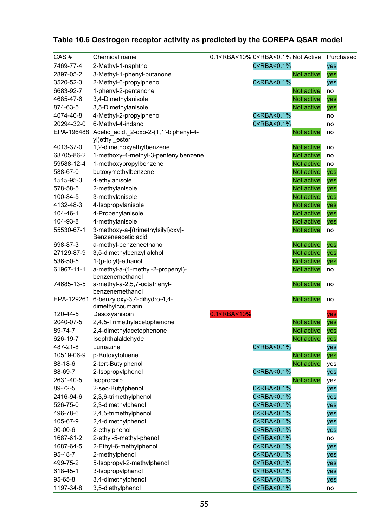| CAS#          | Chemical name                                                       | 0.1 <rba<10% 0<rba<0.1%="" active<="" not="" td=""><td></td><td>Purchased</td></rba<10%> |                   | Purchased |
|---------------|---------------------------------------------------------------------|------------------------------------------------------------------------------------------|-------------------|-----------|
| 7469-77-4     | 2-Methyl-1-naphthol                                                 | 0 <rba<0.1%< td=""><td>yes</td><td></td></rba<0.1%<>                                     | yes               |           |
| 2897-05-2     | 3-Methyl-1-phenyl-butanone                                          |                                                                                          | Not active<br>yes |           |
| 3520-52-3     | 2-Methyl-6-propylphenol                                             | 0 <rba<0.1%< td=""><td>yes</td><td></td></rba<0.1%<>                                     | yes               |           |
| 6683-92-7     | 1-phenyl-2-pentanone                                                |                                                                                          | Not active<br>no  |           |
| 4685-47-6     | 3,4-Dimethylanisole                                                 |                                                                                          | Not active<br>yes |           |
| 874-63-5      | 3,5-Dimethylanisole                                                 |                                                                                          | Not active<br>yes |           |
| 4074-46-8     | 4-Methyl-2-propylphenol                                             | 0 <rba<0.1%< td=""><td>no</td><td></td></rba<0.1%<>                                      | no                |           |
| 20294-32-0    | 6-Methyl-4-indanol                                                  | 0 <rba<0.1%< td=""><td>no</td><td></td></rba<0.1%<>                                      | no                |           |
|               | EPA-196488 Acetic_acid, 2-oxo-2-(1,1'-biphenyl-4-<br>yl)ethyl_ester |                                                                                          | Not active<br>no  |           |
| 4013-37-0     | 1,2-dimethoxyethylbenzene                                           |                                                                                          | Not active<br>no  |           |
| 68705-86-2    | 1-methoxy-4-methyl-3-pentenylbenzene                                |                                                                                          | Not active<br>no  |           |
| 59588-12-4    | 1-methoxypropylbenzene                                              |                                                                                          | Not active<br>no  |           |
| 588-67-0      | butoxymethylbenzene                                                 |                                                                                          | Not active<br>yes |           |
| 1515-95-3     | 4-ethylanisole                                                      |                                                                                          | Not active<br>yes |           |
| 578-58-5      | 2-methylanisole                                                     |                                                                                          | Not active<br>yes |           |
| 100-84-5      | 3-methylanisole                                                     |                                                                                          | Not active<br>yes |           |
| 4132-48-3     | 4-Isopropylanisole                                                  |                                                                                          | Not active<br>yes |           |
| 104-46-1      | 4-Propenylanisole                                                   |                                                                                          | Not active<br>yes |           |
| 104-93-8      | 4-methylanisole                                                     |                                                                                          | Not active<br>yes |           |
| 55530-67-1    | 3-methoxy-a-[(trimethylsilyl)oxy]-                                  |                                                                                          | Not active<br>no  |           |
|               | Benzeneacetic acid                                                  |                                                                                          |                   |           |
| 698-87-3      | a-methyl-benzeneethanol                                             |                                                                                          | Not active<br>yes |           |
| 27129-87-9    | 3,5-dimethylbenzyl alchol                                           |                                                                                          | Not active<br>yes |           |
| 536-50-5      | 1-(p-tolyl)-ethanol                                                 |                                                                                          | Not active<br>yes |           |
| 61967-11-1    | a-methyl-a-(1-methyl-2-propenyl)-<br>benzenemethanol                |                                                                                          | Not active<br>no  |           |
| 74685-13-5    | a-methyl-a-2,5,7-octatrienyl-<br>benzenemethanol                    |                                                                                          | Not active<br>no  |           |
| EPA-129261    | 6-benzyloxy-3,4-dihydro-4,4-<br>dimethylcoumarin                    |                                                                                          | Not active<br>no  |           |
| 120-44-5      | Desoxyanisoin                                                       | 0.1 <rba<10%< td=""><td>yes</td><td></td></rba<10%<>                                     | yes               |           |
| 2040-07-5     | 2,4,5-Trimethylacetophenone                                         |                                                                                          | Not active<br>yes |           |
| 89-74-7       | 2,4-dimethylacetophenone                                            |                                                                                          | Not active<br>yes |           |
| 626-19-7      | Isophthalaldehyde                                                   |                                                                                          | Not active<br>yes |           |
| 487-21-8      | Lumazine                                                            | 0 <rba<0.1%< td=""><td>yes</td><td></td></rba<0.1%<>                                     | yes               |           |
| 10519-06-9    | p-Butoxytoluene                                                     |                                                                                          | Not active<br>yes |           |
| 88-18-6       | 2-tert-Butylphenol                                                  |                                                                                          | Not active<br>yes |           |
| 88-69-7       | 2-Isopropylphenol                                                   | 0 <rba<0.1%< td=""><td>yes</td><td></td></rba<0.1%<>                                     | yes               |           |
| 2631-40-5     | Isoprocarb                                                          |                                                                                          | Not active<br>yes |           |
| 89-72-5       | 2-sec-Butylphenol                                                   | 0 <rba<0.1%< td=""><td>yes</td><td></td></rba<0.1%<>                                     | yes               |           |
| 2416-94-6     | 2,3,6-trimethylphenol                                               | 0 <rba<0.1%< td=""><td>yes</td><td></td></rba<0.1%<>                                     | yes               |           |
| 526-75-0      | 2,3-dimethylphenol                                                  | 0 <rba<0.1%< td=""><td>yes</td><td></td></rba<0.1%<>                                     | yes               |           |
| 496-78-6      | 2,4,5-trimethylphenol                                               | 0 <rba<0.1%< td=""><td>yes</td><td></td></rba<0.1%<>                                     | yes               |           |
| 105-67-9      | 2,4-dimethylphenol                                                  | 0 <rba<0.1%< td=""><td>yes</td><td></td></rba<0.1%<>                                     | yes               |           |
| $90 - 00 - 6$ | 2-ethylphenol                                                       | 0 <rba<0.1%< td=""><td>yes</td><td></td></rba<0.1%<>                                     | yes               |           |
| 1687-61-2     | 2-ethyl-5-methyl-phenol                                             | 0 <rba<0.1%< td=""><td>no</td><td></td></rba<0.1%<>                                      | no                |           |
| 1687-64-5     | 2-Ethyl-6-methylphenol                                              | 0 <rba<0.1%< td=""><td>yes</td><td></td></rba<0.1%<>                                     | yes               |           |
| 95-48-7       | 2-methylphenol                                                      | 0 <rba<0.1%< td=""><td>yes</td><td></td></rba<0.1%<>                                     | yes               |           |
| 499-75-2      | 5-Isopropyl-2-methylphenol                                          | 0 <rba<0.1%< td=""><td>yes</td><td></td></rba<0.1%<>                                     | yes               |           |
| 618-45-1      | 3-Isopropylphenol                                                   | 0 <rba<0.1%< td=""><td>yes</td><td></td></rba<0.1%<>                                     | yes               |           |
| 95-65-8       | 3,4-dimethylphenol                                                  | 0 <rba<0.1%< td=""><td>yes</td><td></td></rba<0.1%<>                                     | yes               |           |
| 1197-34-8     | 3,5-diethylphenol                                                   | 0 <rba<0.1%< td=""><td>no</td><td></td></rba<0.1%<>                                      | no                |           |

## **Table 10.6 Oestrogen receptor activity as predicted by the COREPA QSAR model**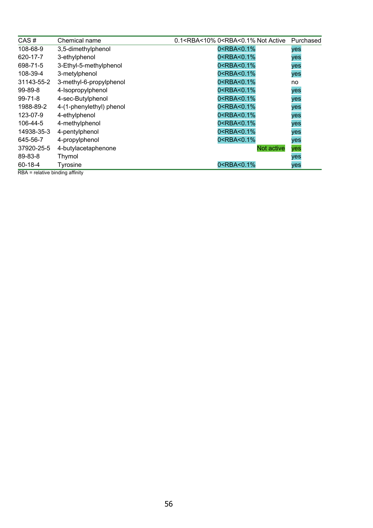| CAS#            | Chemical name            | 0.1 <rba<10% 0<rba<0.1%="" active<="" not="" th=""><th>Purchased</th></rba<10%> | Purchased |
|-----------------|--------------------------|---------------------------------------------------------------------------------|-----------|
| 108-68-9        | 3,5-dimethylphenol       | 0 <rba<0.1%< td=""><td>yes</td></rba<0.1%<>                                     | yes       |
| 620-17-7        | 3-ethylphenol            | 0 <rba<0.1%< td=""><td>yes</td></rba<0.1%<>                                     | yes       |
| 698-71-5        | 3-Ethyl-5-methylphenol   | 0 <rba<0.1%< td=""><td>yes</td></rba<0.1%<>                                     | yes       |
| 108-39-4        | 3-metylphenol            | 0 <rba<0.1%< td=""><td>yes</td></rba<0.1%<>                                     | yes       |
| 31143-55-2      | 3-methyl-6-propylphenol  | 0 <rba<0.1%< td=""><td>no</td></rba<0.1%<>                                      | no        |
| 99-89-8         | 4-Isopropylphenol        | 0 <rba<0.1%< td=""><td>yes</td></rba<0.1%<>                                     | yes       |
| $99 - 71 - 8$   | 4-sec-Butylphenol        | 0 <rba<0.1%< td=""><td>yes</td></rba<0.1%<>                                     | yes       |
| 1988-89-2       | 4-(1-phenylethyl) phenol | 0 <rba<0.1%< td=""><td>yes</td></rba<0.1%<>                                     | yes       |
| 123-07-9        | 4-ethylphenol            | 0 <rba<0.1%< td=""><td>yes</td></rba<0.1%<>                                     | yes       |
| 106-44-5        | 4-methylphenol           | 0 <rba<0.1%< td=""><td>yes</td></rba<0.1%<>                                     | yes       |
| 14938-35-3      | 4-pentylphenol           | 0 <rba<0.1%< td=""><td>yes</td></rba<0.1%<>                                     | yes       |
| 645-56-7        | 4-propylphenol           | 0 <rba<0.1%< td=""><td>yes</td></rba<0.1%<>                                     | yes       |
| 37920-25-5      | 4-butylacetaphenone      | <b>Not active</b>                                                               | yes       |
| 89-83-8         | Thymol                   |                                                                                 | yes       |
| 60-18-4<br>---- | <b>Tyrosine</b>          | 0 <rba<0.1%< td=""><td>yes</td></rba<0.1%<>                                     | yes       |

RBA = relative binding affinity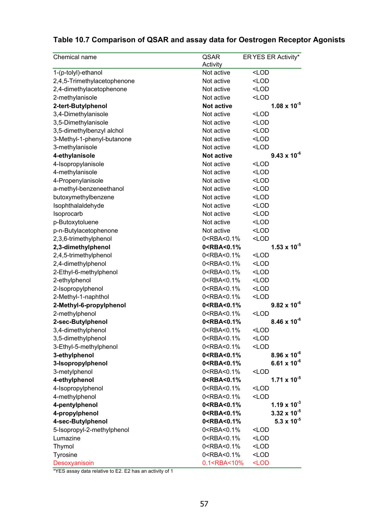## **Table 10.7 Comparison of QSAR and assay data for Oestrogen Receptor Agonists**

| Chemical name               | QSAR                                                                     | ER YES ER Activity*   |
|-----------------------------|--------------------------------------------------------------------------|-----------------------|
|                             | Activity                                                                 |                       |
| 1-(p-tolyl)-ethanol         | Not active                                                               | <lod< td=""></lod<>   |
| 2,4,5-Trimethylacetophenone | Not active                                                               | $<$ LOD               |
| 2,4-dimethylacetophenone    | Not active                                                               | <lod< td=""></lod<>   |
| 2-methylanisole             | Not active                                                               | <lod< td=""></lod<>   |
| 2-tert-Butylphenol          | <b>Not active</b>                                                        | $1.08 \times 10^{-5}$ |
| 3,4-Dimethylanisole         | Not active                                                               | <lod< td=""></lod<>   |
| 3,5-Dimethylanisole         | Not active                                                               | <lod< td=""></lod<>   |
| 3,5-dimethylbenzyl alchol   | Not active                                                               | <lod< td=""></lod<>   |
| 3-Methyl-1-phenyl-butanone  | Not active                                                               | <lod< td=""></lod<>   |
| 3-methylanisole             | Not active                                                               | <lod< td=""></lod<>   |
| 4-ethylanisole              | <b>Not active</b>                                                        | $9.43 \times 10^{-6}$ |
| 4-Isopropylanisole          | Not active                                                               | <lod< td=""></lod<>   |
| 4-methylanisole             | Not active                                                               | <lod< td=""></lod<>   |
| 4-Propenylanisole           | Not active                                                               | $<$ LOD               |
| a-methyl-benzeneethanol     | Not active                                                               | <lod< td=""></lod<>   |
| butoxymethylbenzene         | Not active                                                               | <lod< td=""></lod<>   |
| Isophthalaldehyde           | Not active                                                               | $<$ LOD               |
| Isoprocarb                  | Not active                                                               | $<$ LOD               |
| p-Butoxytoluene             | Not active                                                               | <lod< td=""></lod<>   |
| p-n-Butylacetophenone       | Not active                                                               | <lod< td=""></lod<>   |
| 2,3,6-trimethylphenol       | 0 <rba<0.1%< td=""><td><lod< td=""></lod<></td></rba<0.1%<>              | <lod< td=""></lod<>   |
| 2,3-dimethylphenol          | 0 <rba<0.1%< td=""><td><math>1.53 \times 10^{-5}</math></td></rba<0.1%<> | $1.53 \times 10^{-5}$ |
| 2,4,5-trimethylphenol       | 0 <rba<0.1%< td=""><td><lod< td=""></lod<></td></rba<0.1%<>              | <lod< td=""></lod<>   |
| 2,4-dimethylphenol          | 0 <rba<0.1%< td=""><td><lod< td=""></lod<></td></rba<0.1%<>              | <lod< td=""></lod<>   |
| 2-Ethyl-6-methylphenol      | 0 <rba<0.1%< td=""><td><lod< td=""></lod<></td></rba<0.1%<>              | <lod< td=""></lod<>   |
| 2-ethylphenol               | 0 <rba<0.1%< td=""><td><math>&lt;</math>LOD</td></rba<0.1%<>             | $<$ LOD               |
| 2-Isopropylphenol           | 0 <rba<0.1%< td=""><td><lod< td=""></lod<></td></rba<0.1%<>              | <lod< td=""></lod<>   |
| 2-Methyl-1-naphthol         | 0 <rba<0.1%< td=""><td><math>&lt;</math>LOD</td></rba<0.1%<>             | $<$ LOD               |
| 2-Methyl-6-propylphenol     | 0 <rba<0.1%< td=""><td><math>9.82 \times 10^{-6}</math></td></rba<0.1%<> | $9.82 \times 10^{-6}$ |
| 2-methylphenol              | 0 <rba<0.1%< td=""><td><math>&lt;</math>LOD</td></rba<0.1%<>             | $<$ LOD               |
| 2-sec-Butylphenol           | 0 <rba<0.1%< td=""><td><math>8.46 \times 10^{-6}</math></td></rba<0.1%<> | $8.46 \times 10^{-6}$ |
| 3,4-dimethylphenol          | 0 <rba<0.1%< td=""><td><lod< td=""></lod<></td></rba<0.1%<>              | <lod< td=""></lod<>   |
| 3,5-dimethylphenol          | 0 <rba<0.1%< td=""><td><lod< td=""></lod<></td></rba<0.1%<>              | <lod< td=""></lod<>   |
| 3-Ethyl-5-methylphenol      | 0 <rba<0.1%< td=""><td><math>&lt;</math>LOD</td></rba<0.1%<>             | $<$ LOD               |
| 3-ethylphenol               | 0 <rba<0.1%< td=""><td><math>8.96 \times 10^{-6}</math></td></rba<0.1%<> | $8.96 \times 10^{-6}$ |
| 3-Isopropylphenol           | 0 <rba<0.1%< td=""><td>6.61 x <math>10^{-6}</math></td></rba<0.1%<>      | 6.61 x $10^{-6}$      |
| 3-metylphenol               | 0 <rba<0.1%< td=""><td><lod< td=""></lod<></td></rba<0.1%<>              | <lod< td=""></lod<>   |
| 4-ethylphenol               | 0 <rba<0.1%< td=""><td><math>1.71 \times 10^{-5}</math></td></rba<0.1%<> | $1.71 \times 10^{-5}$ |
| 4-Isopropylphenol           | 0 <rba<0.1%< td=""><td><math>&lt;</math>LOD</td></rba<0.1%<>             | $<$ LOD               |
| 4-methylphenol              | 0 <rba<0.1%< td=""><td><math>&lt;</math>LOD</td></rba<0.1%<>             | $<$ LOD               |
| 4-pentylphenol              | 0 <rba<0.1%< td=""><td>1.19 x <math>10^{-3}</math></td></rba<0.1%<>      | 1.19 x $10^{-3}$      |
| 4-propylphenol              | 0 <rba<0.1%< td=""><td><math>3.32 \times 10^{-5}</math></td></rba<0.1%<> | $3.32 \times 10^{-5}$ |
| 4-sec-Butylphenol           | 0 <rba<0.1%< td=""><td><math>5.3 \times 10^{-5}</math></td></rba<0.1%<>  | $5.3 \times 10^{-5}$  |
| 5-Isopropyl-2-methylphenol  | 0 <rba<0.1%< td=""><td><lod< td=""></lod<></td></rba<0.1%<>              | <lod< td=""></lod<>   |
| Lumazine                    | 0 <rba<0.1%< td=""><td><lod< td=""></lod<></td></rba<0.1%<>              | <lod< td=""></lod<>   |
| Thymol                      | 0 <rba<0.1%< td=""><td><lod< td=""></lod<></td></rba<0.1%<>              | <lod< td=""></lod<>   |
| Tyrosine                    | 0 <rba<0.1%< td=""><td><math>&lt;</math>LOD</td></rba<0.1%<>             | $<$ LOD               |
| Desoxyanisoin               | 0.1 <rba<10%< td=""><td><math>&lt;</math>LOD</td></rba<10%<>             | $<$ LOD               |

\*YES assay data relative to E2. E2 has an activity of 1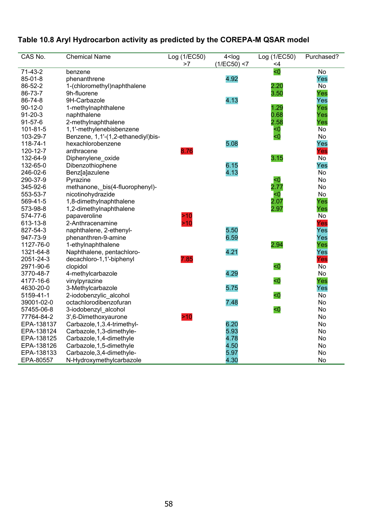## **Table 10.8 Aryl Hydrocarbon activity as predicted by the COREPA-M QSAR model**

| CAS No.        | <b>Chemical Name</b>               | Log (1/EC50)<br>>7 | 4 < log<br>(1/EC50) < 7 | Log (1/EC50)<br><4 | Purchased? |
|----------------|------------------------------------|--------------------|-------------------------|--------------------|------------|
| $71-43-2$      | benzene                            |                    |                         | $\overline{50}$    | No         |
| $85 - 01 - 8$  | phenanthrene                       |                    | 4.92                    |                    | Yes        |
| 86-52-2        | 1-(chloromethyl)naphthalene        |                    |                         | 2.20               | No         |
| 86-73-7        | 9h-fluorene                        |                    |                         | 3.50               | Yes        |
| 86-74-8        | 9H-Carbazole                       |                    | 4.13                    |                    | Yes        |
| $90 - 12 - 0$  | 1-methylnaphthalene                |                    |                         | 1.29               | Yes        |
| $91 - 20 - 3$  | naphthalene                        |                    |                         | 0.68               | Yes        |
| $91 - 57 - 6$  | 2-methylnaphthalene                |                    |                         | 2.58               | Yes        |
| $101 - 81 - 5$ | 1,1'-methylenebisbenzene           |                    |                         | $\leq 0$           | No         |
| 103-29-7       | Benzene, 1,1'-(1,2-ethanediyl)bis- |                    |                         | $\leq 0$           | No         |
| 118-74-1       | hexachlorobenzene                  |                    | 5.08                    |                    | Yes        |
| 120-12-7       | anthracene                         | 8.76               |                         |                    | Yes        |
| 132-64-9       | Diphenylene_oxide                  |                    |                         | 3.15               | No         |
| 132-65-0       | Dibenzothiophene                   |                    | 6.15                    |                    | Yes        |
| 246-02-6       | Benz[a]azulene                     |                    | 4.13                    |                    | <b>No</b>  |
| 290-37-9       | Pyrazine                           |                    |                         | <0                 | <b>No</b>  |
| 345-92-6       | methanone,_bis(4-fluorophenyl)-    |                    |                         | 2.77               | No         |
| 553-53-7       | nicotinohydrazide                  |                    |                         | $\leq 0$           | <b>No</b>  |
| 569-41-5       | 1,8-dimethylnaphthalene            |                    |                         | 2.07               | Yes        |
| 573-98-8       | 1,2-dimethylnaphthalene            |                    |                         | 2.97               | Yes        |
| 574-77-6       | papaveroline                       | >10                |                         |                    | No         |
| 613-13-8       | 2-Anthracenamine                   | >10                |                         |                    | Yes        |
| 827-54-3       | naphthalene, 2-ethenyl-            |                    | 5.50                    |                    | Yes        |
| 947-73-9       | phenanthren-9-amine                |                    | 6.59                    |                    | Yes        |
| 1127-76-0      | 1-ethylnaphthalene                 |                    |                         | 2.94               | Yes        |
| 1321-64-8      | Naphthalene, pentachloro-          |                    | 4.21                    |                    | Yes        |
| 2051-24-3      | decachloro-1,1'-biphenyl           | 7.85               |                         |                    | Yes        |
| 2971-90-6      | clopidol                           |                    |                         | < 0                | <b>No</b>  |
| 3770-48-7      | 4-methylcarbazole                  |                    | 4.29                    |                    | No         |
| 4177-16-6      | vinylpyrazine                      |                    |                         | $\leq 0$           | Yes        |
| 4630-20-0      | 3-Methylcarbazole                  |                    | 5.75                    |                    | Yes        |
| 5159-41-1      | 2-iodobenzylic_alcohol             |                    |                         | < 0                | No         |
| 39001-02-0     | octachlorodibenzofuran             |                    | 7.48                    |                    | No         |
| 57455-06-8     | 3-iodobenzyl_alcohol               |                    |                         | $\leq 0$           | No         |
| 77764-84-2     | 3',6-Dimethoxyaurone               | >10                |                         |                    | No         |
| EPA-138137     | Carbazole, 1, 3.4-trimethyl-       |                    | 6.20                    |                    | No         |
| EPA-138124     | Carbazole, 1, 3-dimethyle-         |                    | 5.93                    |                    | <b>No</b>  |
| EPA-138125     | Carbazole, 1, 4-dimethyle          |                    | 4.78                    |                    | No         |
| EPA-138126     | Carbazole, 1, 5-dimethyle          |                    | 4.50                    |                    | No         |
| EPA-138133     | Carbazole, 3, 4-dimethyle-         |                    | 5.97                    |                    | No         |
| EPA-80557      | N-Hydroxymethylcarbazole           |                    | 4.30                    |                    | No         |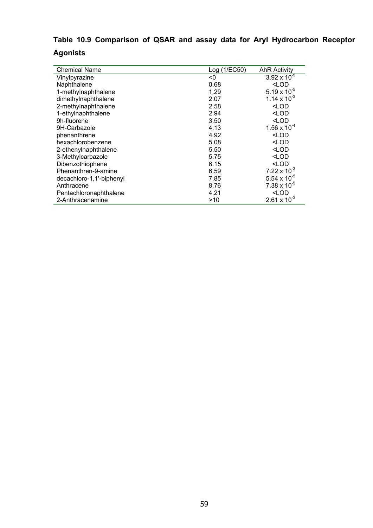## **Table 10.9 Comparison of QSAR and assay data for Aryl Hydrocarbon Receptor Agonists**

| <b>Chemical Name</b>     | Log (1/EC50) | <b>AhR Activity</b>   |
|--------------------------|--------------|-----------------------|
| Vinylpyrazine            | <0           | $3.92 \times 10^{-5}$ |
| Naphthalene              | 0.68         | <lod< td=""></lod<>   |
| 1-methylnaphthalene      | 1.29         | 5.19 x $10^{-5}$      |
| dimethylnaphthalene      | 2.07         | 1.14 x $10^{-3}$      |
| 2-methylnaphthalene      | 2.58         | <lod< td=""></lod<>   |
| 1-ethylnaphthalene       | 2.94         | <lod< td=""></lod<>   |
| 9h-fluorene              | 3.50         | $<$ LOD               |
| 9H-Carbazole             | 4.13         | $1.56 \times 10^{-4}$ |
| phenanthrene             | 4.92         | <lod< td=""></lod<>   |
| hexachlorobenzene        | 5.08         | <lod< td=""></lod<>   |
| 2-ethenylnaphthalene     | 5.50         | $<$ LOD               |
| 3-Methylcarbazole        | 5.75         | <lod< td=""></lod<>   |
| Dibenzothiophene         | 6.15         | $<$ LOD               |
| Phenanthren-9-amine      | 6.59         | 7.22 x $10^{-3}$      |
| decachloro-1,1'-biphenyl | 7.85         | 5.54 x $10^{-5}$      |
| Anthracene               | 8.76         | $7.38 \times 10^{-5}$ |
| Pentachloronaphthalene   | 4.21         | <lod< td=""></lod<>   |
| 2-Anthracenamine         | >10          | $2.61 \times 10^{-3}$ |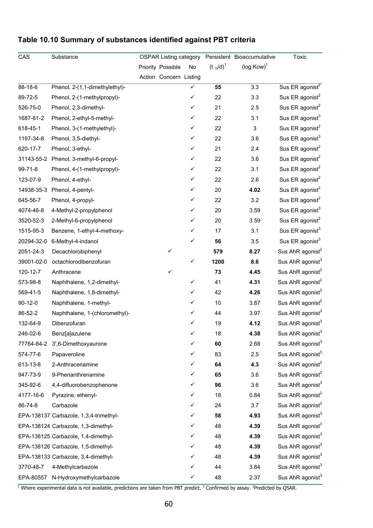| CAS           | Substance                              | <b>OSPAR Listing category</b> |                        |    |                         | Persistent Bioaccumulative | Toxic                        |
|---------------|----------------------------------------|-------------------------------|------------------------|----|-------------------------|----------------------------|------------------------------|
|               |                                        |                               | Priority Possible      | No | $(t \frac{1}{2} d)^{1}$ | ( $log Kow$ ) <sup>1</sup> |                              |
|               |                                        |                               | Action Concern Listing |    |                         |                            |                              |
| 88-18-6       | Phenol, 2-(1,1-dimethylethyl)-         |                               |                        | ✓  | 55                      | 3.3                        | Sus ER agonist <sup>2</sup>  |
| 89-72-5       | Phenol, 2-(1-methylpropyl)-            |                               |                        | ✓  | 22                      | 3.3                        | Sus ER agonist <sup>2</sup>  |
| 526-75-0      | Phenol, 2,3-dimethyl-                  |                               |                        | ✓  | 21                      | 2.5                        | Sus ER agonist <sup>2</sup>  |
| 1687-61-2     | Phenol, 2-ethyl-5-methyl-              |                               |                        | ✓  | 22                      | 3.1                        | Sus ER agonist <sup>3</sup>  |
| 618-45-1      | Phenol, 3-(1-methylethyl)-             |                               |                        | ✓  | 22                      | $\ensuremath{\mathsf{3}}$  | Sus ER agonist <sup>2</sup>  |
| 1197-34-8     | Phenol, 3,5-diethyl-                   |                               |                        | ✓  | 22                      | 3.6                        | Sus ER agonist <sup>3</sup>  |
| 620-17-7      | Phenol, 3-ethyl-                       |                               |                        | ✓  | 21                      | 2.4                        | Sus ER agonist <sup>2</sup>  |
| 31143-55-2    | Phenol, 3-methyl-6-propyl-             |                               |                        | ✓  | 22                      | 3.6                        | Sus ER agonist <sup>2</sup>  |
| 99-71-8       | Phenol, 4-(1-methylpropyl)-            |                               |                        | ✓  | 22                      | 3.1                        | Sus ER agonist <sup>2</sup>  |
| 123-07-9      | Phenol, 4-ethyl-                       |                               |                        | ✓  | 22                      | 2.6                        | Sus ER agonist <sup>2</sup>  |
| 14938-35-3    | Phenol, 4-pentyl-                      |                               |                        | ✓  | 20                      | 4.02                       | Sus ER agonist <sup>2</sup>  |
| 645-56-7      | Phenol, 4-propyl-                      |                               |                        | ✓  | 22                      | 3.2                        | Sus ER agonist <sup>2</sup>  |
| 4074-46-8     | 4-Methyl-2-propylphenol                |                               |                        | ✓  | 20                      | 3.59                       | Sus ER agonist <sup>3</sup>  |
| 3520-52-3     | 2-Methyl-6-propylphenol                |                               |                        | ✓  | 20                      | 3.59                       | Sus ER agonist <sup>2</sup>  |
| 1515-95-3     | Benzene, 1-ethyl-4-methoxy-            |                               |                        | ✓  | 17                      | 3.1                        | Sus ER agonist <sup>3</sup>  |
| 20294-32-0    | 6-Methyl-4-indanol                     |                               |                        | ✓  | 56                      | 3.5                        | Sus ER agonist <sup>3</sup>  |
| 2051-24-3     | Decachlorobiphenyl                     |                               | ✓                      |    | 579                     | 8.27                       | Sus AhR agonist <sup>2</sup> |
| 39001-02-0    | octachlorodibenzofuran                 |                               |                        | ✓  | 1200                    | 8.6                        | Sus AhR agonist <sup>3</sup> |
| 120-12-7      | Anthracene                             |                               | ✓                      |    | 73                      | 4.45                       | Sus AhR agonist <sup>2</sup> |
| 573-98-8      | Naphthalene, 1,2-dimethyl-             |                               |                        | ✓  | 41                      | 4.31                       | Sus AhR agonist <sup>2</sup> |
| 569-41-5      | Naphthalene, 1,8-dimethyl-             |                               |                        | ✓  | 42                      | 4.26                       | Sus AhR agonist <sup>2</sup> |
| $90 - 12 - 0$ | Naphthalene, 1-methyl-                 |                               |                        | ✓  | 10                      | 3.87                       | Sus AhR agonist <sup>2</sup> |
| 86-52-2       | Naphthalene, 1-(chloromethyl)-         |                               |                        | ✓  | 44                      | 3.97                       | Sus AhR agonist <sup>3</sup> |
| 132-64-9      | Dibenzofuran                           |                               |                        | ✓  | 19                      | 4.12                       | Sus AhR agonist <sup>3</sup> |
| 246-02-6      | Benz[a]azulene                         |                               |                        | ✓  | 18                      | 4.38                       | Sus AhR agonist <sup>3</sup> |
| 77764-84-2    | 3',6-Dimethoxyaurone                   |                               |                        | ✓  | 60                      | 2.68                       | Sus AhR agonist <sup>3</sup> |
| 574-77-6      | Papaveroline                           |                               |                        | ✓  | 83                      | 2.5                        | Sus AhR agonist <sup>3</sup> |
| 613-13-8      | 2-Anthracenamine                       |                               |                        | ✓  | 64                      | 4.3                        | Sus AhR agonist <sup>2</sup> |
| 947-73-9      | 9-Phenanthrenamine                     |                               |                        | ✓  | 65                      | 3.6                        | Sus AhR agonist <sup>2</sup> |
| 345-92-6      | 4,4-difluorobenzophenone               |                               |                        | ✓  | 96                      | 3.6                        | Sus AhR agonist <sup>3</sup> |
| 4177-16-6     | Pyrazine, ethenyl-                     |                               |                        | ✓  | 18                      | 0.84                       | Sus AhR agonist <sup>2</sup> |
| 86-74-8       | Carbazole                              |                               |                        | ✓  | 24                      | 3.7                        | Sus AhR agonist <sup>2</sup> |
|               | EPA-138137 Carbazole, 1,3,4-trimethyl- |                               |                        | ✓  | 58                      | 4.93                       | Sus AhR agonist <sup>3</sup> |
|               | EPA-138124 Carbazole, 1,3-dimethyl-    |                               |                        | ✓  | 48                      | 4.39                       | Sus AhR agonist <sup>3</sup> |
|               | EPA-138125 Carbazole, 1,4-dimethyl-    |                               |                        | ✓  | 48                      | 4.39                       | Sus AhR agonist <sup>3</sup> |
|               | EPA-138126 Carbazole, 1,5-dimethyl-    |                               |                        | ✓  | 48                      | 4.39                       | Sus AhR agonist <sup>3</sup> |
|               | EPA-138133 Carbazole, 3,4-dimethyl-    |                               |                        | ✓  | 48                      | 4.39                       | Sus AhR agonist <sup>3</sup> |
| 3770-48-7     | 4-Methylcarbazole                      |                               |                        | ✓  | 44                      | 3.84                       | Sus AhR agonist <sup>3</sup> |
|               | EPA-80557 N-Hydroxymethylcarbazole     |                               |                        | ✓  | 48                      | 2.37                       | Sus AhR agonist <sup>3</sup> |

## **Table 10.10 Summary of substances identified against PBT criteria**

<sup>1</sup> Where experimental data is not available, predictions are taken from PBT predict. <sup>2</sup> Confirmed by assay. <sup>3</sup>Predicted by QSAR.